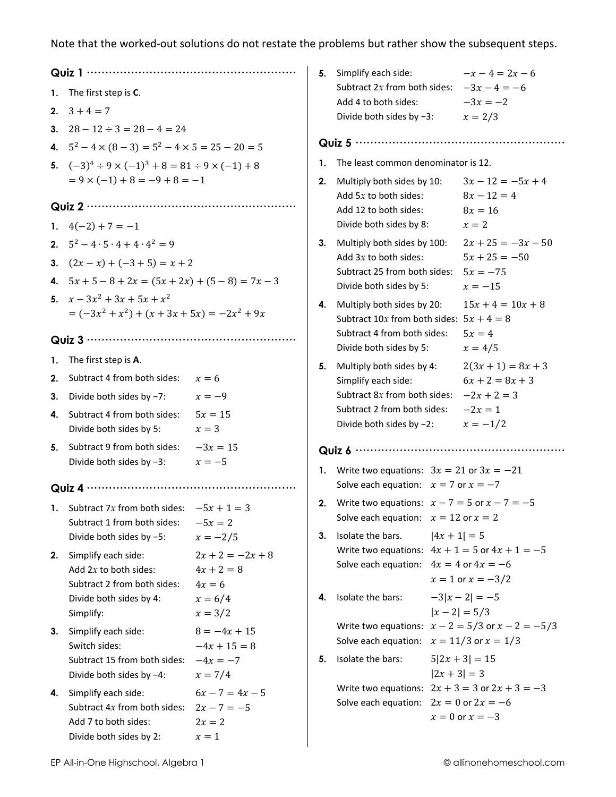Note that the worked-out solutions do not restate the problems but rather show the subsequent steps.

| 1. | The first step is C.                                                |                                    |  |  |  |  |  |
|----|---------------------------------------------------------------------|------------------------------------|--|--|--|--|--|
| 2. | $3 + 4 = 7$                                                         |                                    |  |  |  |  |  |
|    | 3. $28 - 12 \div 3 = 28 - 4 = 24$                                   |                                    |  |  |  |  |  |
|    | 4. $5^2 - 4 \times (8 - 3) = 5^2 - 4 \times 5 = 25 - 20 = 5$        |                                    |  |  |  |  |  |
|    | 5. $(-3)^4 \div 9 \times (-1)^3 + 8 = 81 \div 9 \times (-1) + 8$    |                                    |  |  |  |  |  |
|    | $= 9 \times (-1) + 8 = -9 + 8 = -1$                                 |                                    |  |  |  |  |  |
|    |                                                                     |                                    |  |  |  |  |  |
| 1. | $4(-2) + 7 = -1$                                                    |                                    |  |  |  |  |  |
| 2. | $5^2 - 4 \cdot 5 \cdot 4 + 4 \cdot 4^2 = 9$                         |                                    |  |  |  |  |  |
| 3. | $(2x - x) + (-3 + 5) = x + 2$                                       |                                    |  |  |  |  |  |
|    | 4. $5x + 5 - 8 + 2x = (5x + 2x) + (5 - 8) = 7x - 3$                 |                                    |  |  |  |  |  |
| 5. | $x - 3x^2 + 3x + 5x + x^2$                                          |                                    |  |  |  |  |  |
|    | $= (-3x2 + x2) + (x + 3x + 5x) = -2x2 + 9x$                         |                                    |  |  |  |  |  |
|    |                                                                     |                                    |  |  |  |  |  |
| 1. | The first step is A.                                                |                                    |  |  |  |  |  |
| 2. | Subtract 4 from both sides: $x = 6$                                 |                                    |  |  |  |  |  |
| 3. | Divide both sides by -7:                                            | $x = -9$                           |  |  |  |  |  |
| 4. | Subtract 4 from both sides: $5x = 15$                               |                                    |  |  |  |  |  |
|    | Divide both sides by 5:                                             | $x = 3$                            |  |  |  |  |  |
| 5. | Subtract 9 from both sides: $-3x = 15$                              |                                    |  |  |  |  |  |
|    | Divide both sides by $-3$ :                                         | $x=-5$                             |  |  |  |  |  |
|    |                                                                     |                                    |  |  |  |  |  |
|    | 1. Subtract 7x from both sides: $-5x + 1 = 3$                       |                                    |  |  |  |  |  |
|    | Subtract 1 from both sides:                                         | $-5x = 2$                          |  |  |  |  |  |
|    | Divide both sides by -5:                                            | $x = -2/5$                         |  |  |  |  |  |
| 2. | Simplify each side:<br>Add $2x$ to both sides:                      | $2x + 2 = -2x + 8$<br>$4x + 2 = 8$ |  |  |  |  |  |
|    | Subtract 2 from both sides:                                         | $4x = 6$                           |  |  |  |  |  |
|    | Divide both sides by 4:                                             | $x = 6/4$                          |  |  |  |  |  |
|    | Simplify:                                                           | $x = 3/2$                          |  |  |  |  |  |
| 3. | Simplify each side:                                                 | $8 = -4x + 15$                     |  |  |  |  |  |
|    | Switch sides:                                                       | $-4x + 15 = 8$                     |  |  |  |  |  |
|    | Subtract 15 from both sides: $-4x = -7$<br>Divide both sides by -4: | $x = 7/4$                          |  |  |  |  |  |
|    |                                                                     | $6x - 7 = 4x - 5$                  |  |  |  |  |  |
| 4. | Simplify each side:<br>Subtract $4x$ from both sides:               | $2x - 7 = -5$                      |  |  |  |  |  |
|    | Add 7 to both sides:                                                | $2x = 2$                           |  |  |  |  |  |
|    | Divide both sides by 2:                                             | $x=1$                              |  |  |  |  |  |

| 5. | Simplify each side:<br>Subtract 2x from both sides:<br>Add 4 to both sides:<br>Divide both sides by $-3$ :                                    |                | $-x-4=2x-6$<br>$-3x - 4 = -6$<br>$-3x = -2$<br>$x = 2/3$                          |  |
|----|-----------------------------------------------------------------------------------------------------------------------------------------------|----------------|-----------------------------------------------------------------------------------|--|
|    |                                                                                                                                               |                |                                                                                   |  |
| 1. | The least common denominator is 12.                                                                                                           |                |                                                                                   |  |
| 2. | Multiply both sides by 10:<br>Add $5x$ to both sides:<br>Add 12 to both sides:<br>Divide both sides by 8:                                     |                | $3x - 12 = -5x + 4$<br>$8x - 12 = 4$<br>$8x = 16$<br>$x=2$                        |  |
| 3. | Multiply both sides by 100:<br>Add $3x$ to both sides:<br>Subtract 25 from both sides:<br>Divide both sides by 5:                             |                | $2x + 25 = -3x - 50$<br>$5x + 25 = -50$<br>$5x = -75$<br>$x = -15$                |  |
| 4. | Multiply both sides by 20:<br>Subtract 10x from both sides: $5x + 4 = 8$<br>Subtract 4 from both sides:<br>Divide both sides by 5:            |                | $15x + 4 = 10x + 8$<br>$5x=4$<br>$x = 4/5$                                        |  |
| 5. | Multiply both sides by 4:<br>Simplify each side:<br>Subtract $8x$ from both sides:<br>Subtract 2 from both sides:<br>Divide both sides by -2: |                | $2(3x+1) = 8x + 3$<br>$6x + 2 = 8x + 3$<br>$-2x + 2 = 3$<br>$-2x=1$<br>$x = -1/2$ |  |
|    |                                                                                                                                               |                |                                                                                   |  |
| 1. | Write two equations: $3x = 21$ or $3x = -21$<br>Solve each equation: $x = 7$ or $x = -7$                                                      |                |                                                                                   |  |
| 2. | Write two equations: $x - 7 = 5$ or $x - 7 = -5$<br>Solve each equation: $x = 12$ or $x = 2$                                                  |                |                                                                                   |  |
| 3. | Isolate the bars.<br>Write two equations: $4x + 1 = 5$ or $4x + 1 = -5$<br>Solve each equation:                                               | $ 4x + 1  = 5$ | $4x = 4$ or $4x = -6$<br>$x = 1$ or $x = -3/2$                                    |  |
| 4. | Isolate the bars:                                                                                                                             |                | $-3 x-2  = -5$<br>$ x-2 =5/3$                                                     |  |
|    | Write two equations:<br>Solve each equation:                                                                                                  |                | $x - 2 = 5/3$ or $x - 2 = -5/3$<br>$x = 11/3$ or $x = 1/3$                        |  |
| 5. | Isolate the bars:                                                                                                                             |                | $5 2x + 3  = 15$                                                                  |  |
|    | Write two equations: $2x + 3 = 3$ or $2x + 3 = -3$<br>Solve each equation: $2x = 0$ or $2x = -6$                                              | $ 2x + 3  = 3$ | $x=0$ or $x=-3$                                                                   |  |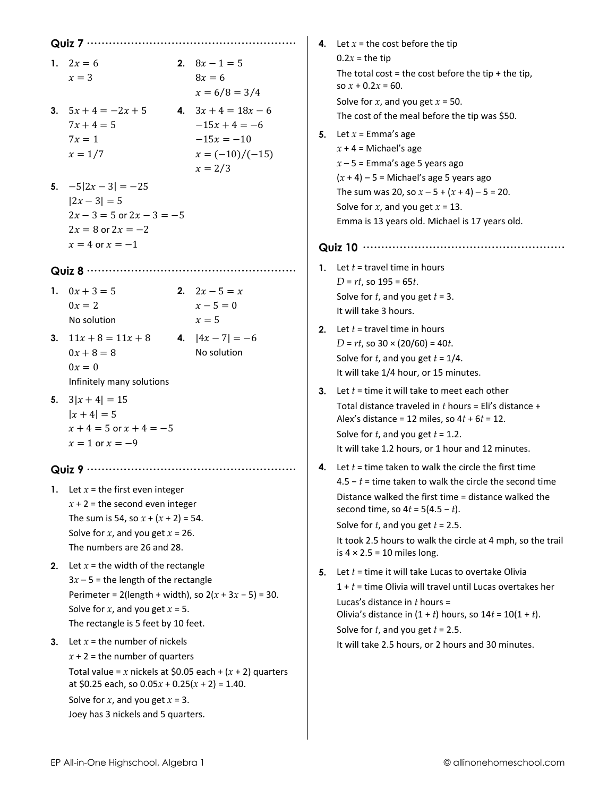|    |                                                                                                                  |  |                             |    | 4. Let $x =$ the cost before the tip                                                                                |  |  |  |
|----|------------------------------------------------------------------------------------------------------------------|--|-----------------------------|----|---------------------------------------------------------------------------------------------------------------------|--|--|--|
|    | 1. $2x = 6$                                                                                                      |  | 2. $8x - 1 = 5$             |    | $0.2x =$ the tip                                                                                                    |  |  |  |
|    | $x=3$                                                                                                            |  | $8x = 6$<br>$x = 6/8 = 3/4$ |    | The total cost = the cost before the tip + the tip,<br>so $x + 0.2x = 60$ .                                         |  |  |  |
|    | 3. $5x + 4 = -2x + 5$                                                                                            |  | 4. $3x + 4 = 18x - 6$       |    | Solve for $x$ , and you get $x = 50$ .                                                                              |  |  |  |
|    | $7x + 4 = 5$                                                                                                     |  | $-15x + 4 = -6$             |    | The cost of the meal before the tip was \$50.                                                                       |  |  |  |
|    | $7x=1$                                                                                                           |  | $-15x = -10$                |    | <b>5.</b> Let $x =$ Emma's age                                                                                      |  |  |  |
|    | $x = 1/7$                                                                                                        |  | $x = (-10)/(-15)$           |    | $x + 4 =$ Michael's age                                                                                             |  |  |  |
|    | $x = 2/3$                                                                                                        |  |                             |    | $x - 5$ = Emma's age 5 years ago                                                                                    |  |  |  |
|    | 5. $-5 2x-3  = -25$                                                                                              |  |                             |    | $(x + 4) - 5$ = Michael's age 5 years ago                                                                           |  |  |  |
|    | $ 2x-3 =5$                                                                                                       |  |                             |    | The sum was 20, so $x - 5 + (x + 4) - 5 = 20$ .                                                                     |  |  |  |
|    | $2x - 3 = 5$ or $2x - 3 = -5$                                                                                    |  |                             |    | Solve for $x$ , and you get $x = 13$ .                                                                              |  |  |  |
|    | $2x = 8$ or $2x = -2$                                                                                            |  |                             |    | Emma is 13 years old. Michael is 17 years old.                                                                      |  |  |  |
|    | $x = 4$ or $x = -1$                                                                                              |  |                             |    |                                                                                                                     |  |  |  |
|    |                                                                                                                  |  |                             |    | 1. Let $t =$ travel time in hours                                                                                   |  |  |  |
|    |                                                                                                                  |  |                             |    | $D = rt$ , so 195 = 65 $t$ .                                                                                        |  |  |  |
|    | 1. $0x + 3 = 5$<br>$0x=2$                                                                                        |  | 2. $2x-5=x$<br>$x - 5 = 0$  |    | Solve for $t$ , and you get $t = 3$ .                                                                               |  |  |  |
|    | No solution                                                                                                      |  | $x=5$                       |    | It will take 3 hours.                                                                                               |  |  |  |
|    |                                                                                                                  |  |                             | 2. | Let $t =$ travel time in hours                                                                                      |  |  |  |
|    | <b>3.</b> $11x + 8 = 11x + 8$ <b>4.</b> $ 4x - 7  = -6$                                                          |  |                             |    | $D = rt$ , so 30 × (20/60) = 40 <i>t</i> .                                                                          |  |  |  |
|    | $0x + 8 = 8$                                                                                                     |  | No solution                 |    | Solve for $t$ , and you get $t = 1/4$ .                                                                             |  |  |  |
|    | $0x=0$<br>Infinitely many solutions                                                                              |  |                             |    | It will take 1/4 hour, or 15 minutes.                                                                               |  |  |  |
|    |                                                                                                                  |  |                             | 3. | Let $t =$ time it will take to meet each other                                                                      |  |  |  |
|    | 5. $3 x+4  = 15$                                                                                                 |  |                             |    | Total distance traveled in $t$ hours = Eli's distance +                                                             |  |  |  |
|    | $ x + 4  = 5$<br>$x + 4 = 5$ or $x + 4 = -5$                                                                     |  |                             |    | Alex's distance = 12 miles, so $4t + 6t = 12$ .                                                                     |  |  |  |
|    | $x = 1$ or $x = -9$                                                                                              |  |                             |    | Solve for $t$ , and you get $t = 1.2$ .                                                                             |  |  |  |
|    |                                                                                                                  |  |                             |    | It will take 1.2 hours, or 1 hour and 12 minutes.                                                                   |  |  |  |
|    |                                                                                                                  |  |                             | 4. | Let $t =$ time taken to walk the circle the first time<br>4.5 – $t$ = time taken to walk the circle the second time |  |  |  |
|    | 1. Let $x =$ the first even integer                                                                              |  |                             |    | Distance walked the first time = distance walked the                                                                |  |  |  |
|    | $x + 2$ = the second even integer                                                                                |  |                             |    | second time, so $4t = 5(4.5 - t)$ .                                                                                 |  |  |  |
|    | The sum is 54, so $x + (x + 2) = 54$ .                                                                           |  |                             |    | Solve for $t$ , and you get $t = 2.5$ .                                                                             |  |  |  |
|    | Solve for $x$ , and you get $x = 26$ .                                                                           |  |                             |    | It took 2.5 hours to walk the circle at 4 mph, so the trail                                                         |  |  |  |
|    | The numbers are 26 and 28.                                                                                       |  |                             |    | is $4 \times 2.5 = 10$ miles long.                                                                                  |  |  |  |
| 2. | Let $x =$ the width of the rectangle                                                                             |  |                             | 5. | Let $t =$ time it will take Lucas to overtake Olivia                                                                |  |  |  |
|    | $3x - 5$ = the length of the rectangle                                                                           |  |                             |    | $1 + t$ = time Olivia will travel until Lucas overtakes her                                                         |  |  |  |
|    | Perimeter = 2(length + width), so $2(x + 3x - 5) = 30$ .                                                         |  |                             |    | Lucas's distance in $t$ hours =                                                                                     |  |  |  |
|    | Solve for $x$ , and you get $x = 5$ .<br>The rectangle is 5 feet by 10 feet.                                     |  |                             |    | Olivia's distance in $(1 + t)$ hours, so $14t = 10(1 + t)$ .                                                        |  |  |  |
|    |                                                                                                                  |  |                             |    | Solve for $t$ , and you get $t = 2.5$ .                                                                             |  |  |  |
| 3. | Let $x =$ the number of nickels                                                                                  |  |                             |    | It will take 2.5 hours, or 2 hours and 30 minutes.                                                                  |  |  |  |
|    | $x + 2 =$ the number of quarters                                                                                 |  |                             |    |                                                                                                                     |  |  |  |
|    | Total value = x nickels at \$0.05 each + $(x + 2)$ quarters<br>at \$0.25 each, so $0.05x + 0.25(x + 2) = 1.40$ . |  |                             |    |                                                                                                                     |  |  |  |
|    | Solve for $x$ , and you get $x = 3$ .                                                                            |  |                             |    |                                                                                                                     |  |  |  |
|    | Joey has 3 nickels and 5 quarters.                                                                               |  |                             |    |                                                                                                                     |  |  |  |
|    |                                                                                                                  |  |                             |    |                                                                                                                     |  |  |  |

 $\overline{\phantom{a}}$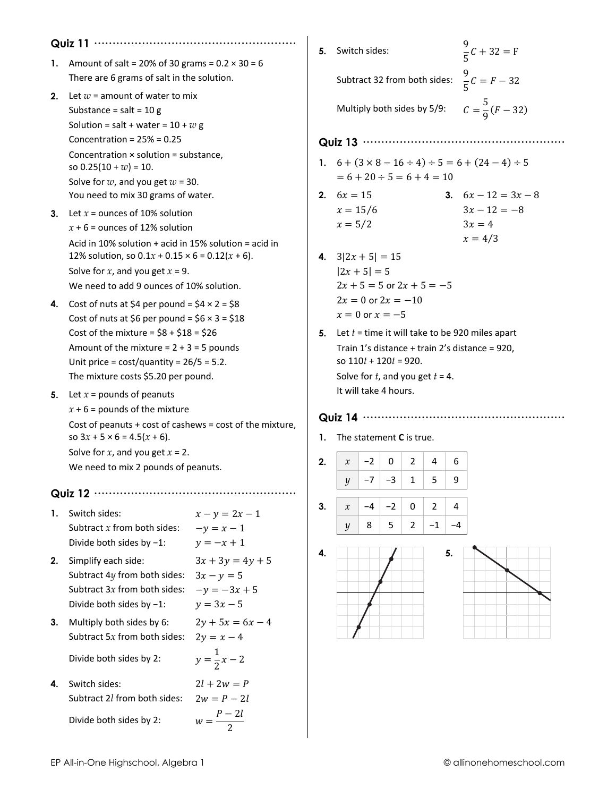|    | Quiz 11 $\cdots$                                                                                                                                                                                                                                                                        |                                                                      |  |  |  |  |
|----|-----------------------------------------------------------------------------------------------------------------------------------------------------------------------------------------------------------------------------------------------------------------------------------------|----------------------------------------------------------------------|--|--|--|--|
| 1. | Amount of salt = 20% of 30 grams = $0.2 \times 30 = 6$<br>There are 6 grams of salt in the solution.                                                                                                                                                                                    |                                                                      |  |  |  |  |
| 2. | Let $w =$ amount of water to mix<br>Substance = salt = $10 g$<br>Solution = salt + water = $10 + w$ g<br>Concentration = $25% = 0.25$                                                                                                                                                   |                                                                      |  |  |  |  |
|    | Concentration $\times$ solution = substance,<br>so $0.25(10 + w) = 10$ .<br>Solve for $w$ , and you get $w = 30$ .<br>You need to mix 30 grams of water.                                                                                                                                |                                                                      |  |  |  |  |
| З. | Let $x =$ ounces of 10% solution<br>$x + 6$ = ounces of 12% solution<br>Acid in 10% solution $+$ acid in 15% solution = acid in<br>12% solution, so $0.1x + 0.15 \times 6 = 0.12(x + 6)$ .<br>Solve for x, and you get $x = 9$ .<br>We need to add 9 ounces of 10% solution.            |                                                                      |  |  |  |  |
| 4. | Cost of nuts at \$4 per pound = $$4 \times 2 = $8$<br>Cost of nuts at \$6 per pound = $$6 \times 3 = $18$<br>Cost of the mixture = $$8 + $18 = $26$<br>Amount of the mixture = $2 + 3 = 5$ pounds<br>Unit price = $cost/quantity = 26/5 = 5.2$ .<br>The mixture costs \$5.20 per pound. |                                                                      |  |  |  |  |
| 5. | Let $x =$ pounds of peanuts<br>$x + 6$ = pounds of the mixture<br>Cost of peanuts + cost of cashews = cost of the mixture,<br>so $3x + 5 \times 6 = 4.5(x + 6)$ .<br>Solve for $x$ , and you get $x = 2$ .<br>We need to mix 2 pounds of peanuts.                                       |                                                                      |  |  |  |  |
|    | Quiz 12                                                                                                                                                                                                                                                                                 |                                                                      |  |  |  |  |
| 1. | Switch sides:<br>Subtract $x$ from both sides:<br>Divide both sides by -1:                                                                                                                                                                                                              | $x - y = 2x - 1$<br>$-y = x - 1$<br>$y = -x + 1$                     |  |  |  |  |
| 2. | Simplify each side:<br>Subtract 4y from both sides:<br>Subtract 3x from both sides:<br>Divide both sides by $-1$ :                                                                                                                                                                      | $3x + 3y = 4y + 5$<br>$3x - y = 5$<br>$-y = -3x + 5$<br>$y = 3x - 5$ |  |  |  |  |
| 3. | Multiply both sides by 6:<br>Subtract 5x from both sides:                                                                                                                                                                                                                               | $2y + 5x = 6x - 4$<br>$2y = x - 4$                                   |  |  |  |  |
|    | Divide both sides by 2:                                                                                                                                                                                                                                                                 | $y = \frac{1}{2}x - 2$                                               |  |  |  |  |
| 4. | Switch sides:<br>Subtract 2l from both sides:                                                                                                                                                                                                                                           | $2l + 2w = P$<br>$2w = P - 2l$                                       |  |  |  |  |
|    | Divide both sides by 2:                                                                                                                                                                                                                                                                 | $w = \frac{P-2l}{2}$                                                 |  |  |  |  |

|    | 5. Switch sides:                                                                                                                                                                                  | $\frac{9}{5}C + 32 = F$                                        |  |  |  |  |  |
|----|---------------------------------------------------------------------------------------------------------------------------------------------------------------------------------------------------|----------------------------------------------------------------|--|--|--|--|--|
|    | Subtract 32 from both sides:                                                                                                                                                                      | $\frac{9}{5}C = F - 32$                                        |  |  |  |  |  |
|    | Multiply both sides by 5/9:                                                                                                                                                                       | $C = \frac{5}{9}(F - 32)$                                      |  |  |  |  |  |
|    | Quiz 13                                                                                                                                                                                           | .                                                              |  |  |  |  |  |
| 1. | $6 + (3 \times 8 - 16 \div 4) \div 5 = 6 + (24 - 4) \div 5$<br>$= 6 + 20 \div 5 = 6 + 4 = 10$                                                                                                     |                                                                |  |  |  |  |  |
|    | 2. $6x = 15$<br>$x = 15/6$<br>$x = 5/2$                                                                                                                                                           | 3. $6x - 12 = 3x - 8$<br>$3x - 12 = -8$<br>$3x=4$<br>$x = 4/3$ |  |  |  |  |  |
| 4. | $3 2x+5 =15$<br>$ 2x + 5  = 5$<br>$2x + 5 = 5$ or $2x + 5 = -5$<br>$2x = 0$ or $2x = -10$<br>$x = 0$ or $x = -5$                                                                                  |                                                                |  |  |  |  |  |
| 5. | Let $t =$ time it will take to be 920 miles apart<br>Train 1's distance + train 2's distance = 920,<br>so $110t + 120t = 920$ .<br>Solve for $t$ , and you get $t = 4$ .<br>It will take 4 hours. |                                                                |  |  |  |  |  |
|    | Quiz 14                                                                                                                                                                                           | .                                                              |  |  |  |  |  |
| 1. | The statement C is true.                                                                                                                                                                          |                                                                |  |  |  |  |  |
| 2. | $-2$<br>0<br>2<br>4<br>$\boldsymbol{\chi}$                                                                                                                                                        | 6                                                              |  |  |  |  |  |
|    | $-7$<br>$-3$<br>5<br>1<br>$\mathcal{Y}$                                                                                                                                                           | 9                                                              |  |  |  |  |  |
| 3. | -4<br>$-2$<br>0<br>2<br>4<br>$\boldsymbol{\chi}$                                                                                                                                                  |                                                                |  |  |  |  |  |
|    | 8<br>5<br>$\overline{2}$<br>$-1$<br>$\mathcal{Y}$                                                                                                                                                 | -4                                                             |  |  |  |  |  |
| 4. | 5.                                                                                                                                                                                                |                                                                |  |  |  |  |  |
|    |                                                                                                                                                                                                   |                                                                |  |  |  |  |  |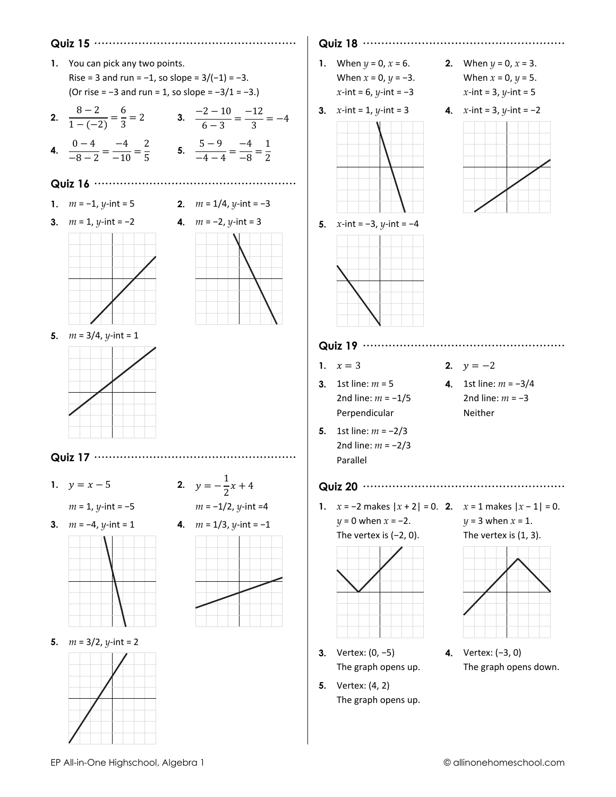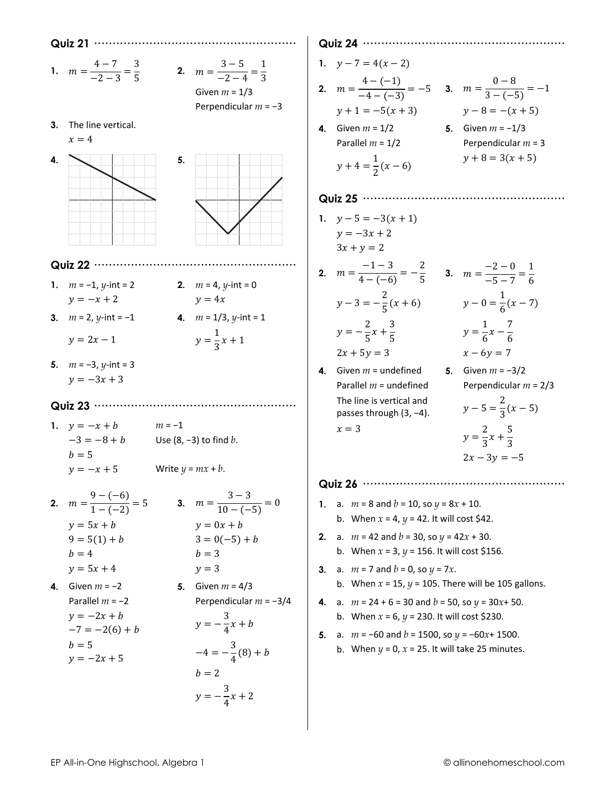1.  $m = \frac{4-7}{-2-3} = \frac{3}{5}$ <br>2.  $m = \frac{3-5}{-2-4} = \frac{1}{3}$ 

Given  $m = 1/3$ 

Perpendicular  $m = -3$ 

3. The line vertical.





#### Quiz 22 ………………………………………………

- 1.  $m = -1$ , *y*-int = 2  $y = -x + 2$
- 2.  $m = 4$ , y-int = 0  $y = 4x$
- 3.  $m = 2$ , y-int = -1  $y = 2x - 1$
- 4.  $m = 1/3$ , y-int = 1  $y = \frac{1}{3}x + 1$
- 
- 5.  $m = -3$ , y-int = 3  $y = -3x + 3$

#### Quiz 23 ………………………………………………

1.  $y = -x + b$  $m = -1$  $-3 = -8 + b$ Use  $(8, -3)$  to find  $b$ .  $b=5$ Write  $y = mx + b$ .  $y = -x + 5$ 

2. 
$$
m = \frac{9 - (-6)}{1 - (-2)} = 5
$$
  
\n $y = 5x + b$   
\n $9 = 5(1) + b$   
\n $b = 4$   
\n3.  $m = \frac{3 - 3}{10 - (-5)} = 0$   
\n $y = 0x + b$   
\n $3 = 0(-5) + b$   
\n $b = 3$   
\n4. Given  $m = -2$   
\n5. Given  $m = 4/3$ 

Parallel 
$$
m = -2
$$

\nPerpendicular  $m = -3/4$ 

\n $y = -2x + b$ 

\n $-7 = -2(6) + b$ 

\n $b = 5$ 

\n $y = -2x + 5$ 

\n $y = -2x + 5$ 

\n $b = 2$ 

\n $y = -\frac{3}{4}x + 2$ 

### 

- 1.  $y 7 = 4(x 2)$
- **2.**  $m = \frac{4 (-1)}{-4 (-3)} = -5$  **3.**  $m = \frac{0 8}{3 (-5)} = -1$  $y + 1 = -5(x + 3)$  $y-8=-(x+5)$
- 4. Given  $m = 1/2$ **5.** Given  $m = -1/3$ Parallel  $m = 1/2$ Perpendicular  $m = 3$  $y+4=\frac{1}{2}(x-6)$  $y + 8 = 3(x + 5)$

- 1.  $y-5=-3(x+1)$  $y = -3x + 2$  $3x + y = 2$
- **2.**  $m = \frac{-1-3}{4-(-6)} = -\frac{2}{5}$  **3.**  $m = \frac{-2-0}{-5-7} = \frac{1}{6}$  $y-3=-\frac{2}{5}(x+6)$   $y-0=\frac{1}{6}(x-7)$  $y = -\frac{2}{5}x + \frac{3}{5}$  $y = \frac{1}{6}x - \frac{7}{6}$
- $2x + 5y = 3$ 4. Given  $m =$  undefined
- Parallel  $m =$  undefined The line is vertical and passes through (3, -4).  $x=3$
- $x 6y = 7$ 5. Given  $m = -3/2$ Perpendicular  $m = 2/3$  $y-5=\frac{2}{3}(x-5)$  $y = \frac{2}{3}x + \frac{5}{3}$  $2x - 3y = -5$



- 1. a.  $m = 8$  and  $b = 10$ , so  $y = 8x + 10$ . b. When  $x = 4$ ,  $y = 42$ . It will cost \$42.
- 2. a.  $m = 42$  and  $b = 30$ , so  $y = 42x + 30$ . b. When  $x = 3$ ,  $y = 156$ . It will cost \$156.
- 3. a.  $m = 7$  and  $b = 0$ , so  $y = 7x$ . b. When  $x = 15$ ,  $y = 105$ . There will be 105 gallons.
- 4. a.  $m = 24 + 6 = 30$  and  $b = 50$ , so  $y = 30x + 50$ . b. When  $x = 6$ ,  $y = 230$ . It will cost \$230.
- 5. a.  $m = -60$  and  $b = 1500$ , so  $y = -60x + 1500$ . b. When  $y = 0$ ,  $x = 25$ . It will take 25 minutes.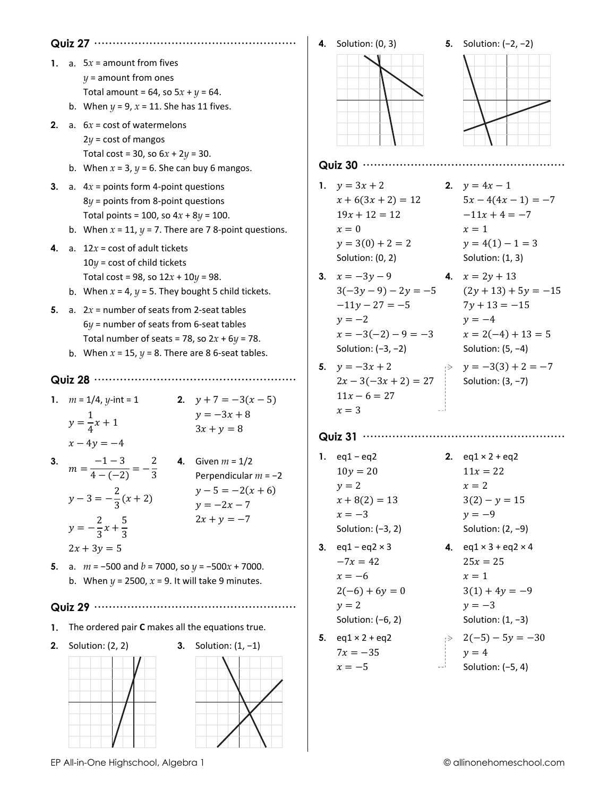|    |                                                                                                                                                                                                                                                                      | <b>4.</b> Solution: (0, 3)                                                                                               | 5. Solution: $(-2, -2)$                                                                                                                  |
|----|----------------------------------------------------------------------------------------------------------------------------------------------------------------------------------------------------------------------------------------------------------------------|--------------------------------------------------------------------------------------------------------------------------|------------------------------------------------------------------------------------------------------------------------------------------|
| 2. | 1. a. $5x =$ amount from fives<br>$y =$ amount from ones<br>Total amount = 64, so $5x + y = 64$ .<br>b. When $y = 9$ , $x = 11$ . She has 11 fives.<br>a. $6x = \text{cost of water}$<br>$2y = \text{cost of }$ mangos<br>Total cost = 30, so $6x + 2y = 30$ .       |                                                                                                                          |                                                                                                                                          |
|    | b. When $x = 3$ , $y = 6$ . She can buy 6 mangos.                                                                                                                                                                                                                    |                                                                                                                          |                                                                                                                                          |
| 4. | 3. a. $4x =$ points form 4-point questions<br>$8y$ = points from 8-point questions<br>Total points = 100, so $4x + 8y = 100$ .<br>b. When $x = 11$ , $y = 7$ . There are 78-point questions.<br>a. $12x = \text{cost of adult tickets}$                              | 1. $y = 3x + 2$<br>2. $y = 4x - 1$<br>$x + 6(3x + 2) = 12$<br>$19x + 12 = 12$<br>$x=0$<br>$y = 3(0) + 2 = 2$             | $5x-4(4x-1)=-7$<br>$-11x + 4 = -7$<br>$x=1$<br>$y = 4(1) - 1 = 3$                                                                        |
|    | $10y = \text{cost of child tickets}$<br>Total cost = 98, so $12x + 10y = 98$ .<br>b. When $x = 4$ , $y = 5$ . They bought 5 child tickets.                                                                                                                           | Solution: (0, 2)<br><b>3.</b> $x = -3y - 9$ <b>4.</b> $x = 2y + 13$<br>$-11y - 27 = -5$ $7y + 13 = -15$                  | Solution: (1, 3)<br>$3(-3y-9) - 2y = -5$ $(2y + 13) + 5y = -15$                                                                          |
| 5. | a. $2x =$ number of seats from 2-seat tables<br>$6y$ = number of seats from 6-seat tables<br>Total number of seats = 78, so $2x + 6y = 78$ .<br>b. When $x = 15$ , $y = 8$ . There are 8 6-seat tables.                                                              | $y = -2$<br>$x = -3(-2) - 9 = -3$ $x = 2(-4) + 13 = 5$<br>Solution: $(-3, -2)$                                           | $y = -4$<br>Solution: $(5, -4)$                                                                                                          |
|    | 1. $m = 1/4$ , y-int = 1<br><b>2.</b> $y + 7 = -3(x - 5)$<br>$y = -3x + 8$<br>$y = \frac{1}{4}x + 1$<br>$3x + y = 8$                                                                                                                                                 | 5. $y = -3x + 2$<br>$y = -3(3) + 2 = -7$<br>$2x-3(-3x + 2) = 27$ Solution: (3, -7)<br>$11x - 6 = 27$<br>$x=3$            |                                                                                                                                          |
|    | $x - 4y = -4$<br>$m = \frac{-1-3}{4-(-2)} = -\frac{2}{3}$ <b>4.</b> Given $m = 1/2$<br>Perpendicular<br>Perpendicular $m = -2$<br>$y-5 = -2(x+6)$<br>$y-3=-\frac{2}{3}(x+2)$<br>$y = -2x - 7$<br>$2x + y = -7$<br>$y = -\frac{2}{3}x + \frac{5}{3}$<br>$2x + 3y = 5$ | 1. $eq1 - eq2$<br>$10y = 20$<br>$y = 2$<br>$x + 8(2) = 13$<br>$x = -3$<br>Solution: $(-3, 2)$<br>3. $eq1 - eq2 \times 3$ | 2. $eq1 \times 2 + eq2$<br>$11x = 22$<br>$x=2$<br>$3(2) - y = 15$<br>$y = -9$<br>Solution: $(2, -9)$<br>4. $eq1 \times 3 + eq2 \times 4$ |
|    | 5. a. $m = -500$ and $b = 7000$ , so $y = -500x + 7000$ .<br>b. When $y = 2500$ , $x = 9$ . It will take 9 minutes.                                                                                                                                                  | $-7x = 42$<br>$x = -6$<br>$2(-6) + 6y = 0$<br>$y = 2$                                                                    | $25x = 25$<br>$x=1$<br>$3(1) + 4y = -9$<br>$y=-3$                                                                                        |
| 1. | The ordered pair C makes all the equations true.                                                                                                                                                                                                                     | Solution: $(-6, 2)$                                                                                                      | Solution: $(1, -3)$                                                                                                                      |
| 2. | Solution: (2, 2)<br>3. Solution: $(1, -1)$                                                                                                                                                                                                                           | 5. $eq1 \times 2 + eq2$<br>$7x = -35$<br>$x = -5$                                                                        | $\Rightarrow$ 2(-5) - 5y = -30<br>$y = 4$<br>Solution: (-5, 4)                                                                           |

EP All-in-One Highschool, Algebra 1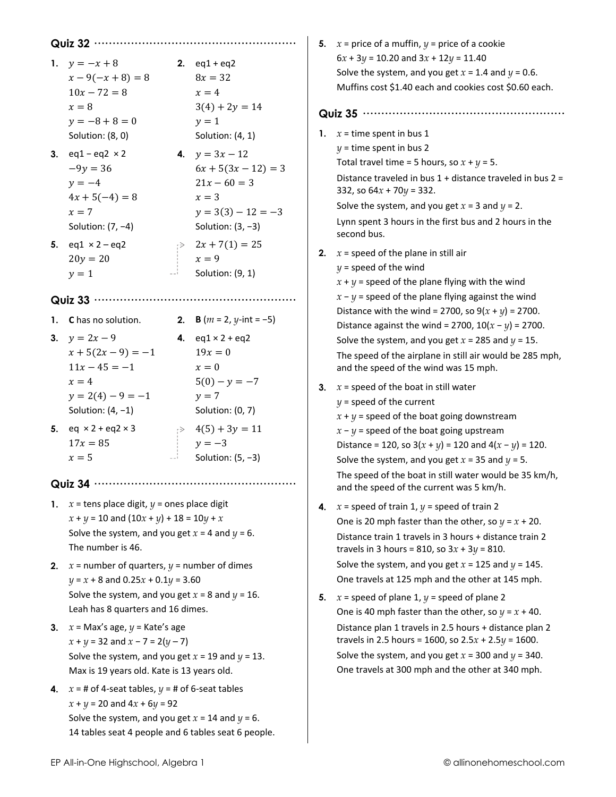|    |                                                          |                                        |                                          |    | 5. $x =$ price of a muffin, $y =$ price of a cookie                                                                                                           |
|----|----------------------------------------------------------|----------------------------------------|------------------------------------------|----|---------------------------------------------------------------------------------------------------------------------------------------------------------------|
|    | 1. $y = -x + 8$<br>$x - 9(-x + 8) = 8$<br>$10x - 72 = 8$ |                                        | 2. $eq1 + eq2$<br>$8x = 32$<br>$x=4$     |    | $6x + 3y = 10.20$ and $3x + 12y = 11.40$<br>Solve the system, and you get $x = 1.4$ and $y = 0.6$ .<br>Muffins cost \$1.40 each and cookies cost \$0.60 each. |
|    | $x=8$<br>$y = -8 + 8 = 0$                                |                                        | $3(4) + 2y = 14$<br>$y=1$                |    |                                                                                                                                                               |
|    | Solution: (8, 0)                                         |                                        | Solution: (4, 1)                         | 1. | $x =$ time spent in bus 1                                                                                                                                     |
|    | 3. $eq1 - eq2 \times 2$                                  |                                        | 4. $y = 3x - 12$                         |    | $y =$ time spent in bus 2                                                                                                                                     |
|    | $-9y = 36$                                               |                                        | $6x + 5(3x - 12) = 3$                    |    | Total travel time = 5 hours, so $x + y = 5$ .                                                                                                                 |
|    | $y = -4$<br>$4x + 5(-4) = 8$                             |                                        | $21x - 60 = 3$<br>$x=3$                  |    | Distance traveled in bus $1 +$ distance traveled in bus $2 =$<br>332, so $64x + 70y = 332$ .                                                                  |
|    | $x=7$                                                    |                                        | $y = 3(3) - 12 = -3$                     |    | Solve the system, and you get $x = 3$ and $y = 2$ .                                                                                                           |
|    | Solution: $(7, -4)$                                      |                                        | Solution: $(3, -3)$                      |    | Lynn spent 3 hours in the first bus and 2 hours in the<br>second bus.                                                                                         |
| 5. | $eq1 \times 2 - eq2$                                     |                                        | $\Rightarrow$ 2x + 7(1) = 25             | 2. | $x =$ speed of the plane in still air                                                                                                                         |
|    | $20y = 20$                                               |                                        | $x = 9$                                  |    | $y =$ speed of the wind                                                                                                                                       |
|    | $y=1$                                                    |                                        | Solution: (9, 1)                         |    | $x + y$ = speed of the plane flying with the wind                                                                                                             |
|    |                                                          |                                        |                                          |    | $x - y$ = speed of the plane flying against the wind                                                                                                          |
|    |                                                          |                                        |                                          |    | Distance with the wind = 2700, so $9(x + y) = 2700$ .                                                                                                         |
|    | 1. C has no solution.                                    |                                        | <b>2. B</b> $(m = 2, y\text{-int} = -5)$ |    | Distance against the wind = 2700, $10(x - y) = 2700$ .                                                                                                        |
|    | 3. $y = 2x - 9$                                          |                                        | 4. $eq1 \times 2 + eq2$                  |    | Solve the system, and you get $x = 285$ and $y = 15$ .                                                                                                        |
|    | $x + 5(2x - 9) = -1$                                     |                                        | $19x = 0$                                |    | The speed of the airplane in still air would be 285 mph,                                                                                                      |
|    | $11x - 45 = -1$                                          |                                        | $x = 0$                                  |    | and the speed of the wind was 15 mph.                                                                                                                         |
|    | $x=4$                                                    |                                        | $5(0) - y = -7$                          | 3. | $x =$ speed of the boat in still water                                                                                                                        |
|    | $y = 2(4) - 9 = -1$                                      |                                        | $y = 7$                                  |    | $y =$ speed of the current                                                                                                                                    |
|    | Solution: $(4, -1)$                                      |                                        | Solution: (0, 7)                         |    | $x + y$ = speed of the boat going downstream                                                                                                                  |
|    | <b>5.</b> eq $\times 2 + eq2 \times 3$                   |                                        | $\Rightarrow$ 4(5) + 3y = 11             |    | $x - y$ = speed of the boat going upstream                                                                                                                    |
|    | $17x = 85$                                               |                                        | $y = -3$                                 |    | Distance = 120, so $3(x + y) = 120$ and $4(x - y) = 120$ .                                                                                                    |
|    | $x=5$                                                    | $\equiv$ $\equiv$ $\stackrel{1}{\sim}$ | Solution: $(5, -3)$                      |    | Solve the system, and you get $x = 35$ and $y = 5$ .                                                                                                          |
|    |                                                          |                                        |                                          |    | The speed of the boat in still water would be 35 km/h,<br>and the speed of the current was 5 km/h.                                                            |
| 1. | $x =$ tens place digit, $y =$ ones place digit           |                                        |                                          | 4. | $x =$ speed of train 1, $y =$ speed of train 2                                                                                                                |
|    | $x + y = 10$ and $(10x + y) + 18 = 10y + x$              |                                        |                                          |    | One is 20 mph faster than the other, so $y = x + 20$ .                                                                                                        |
|    | Solve the system, and you get $x = 4$ and $y = 6$ .      |                                        |                                          |    | Distance train 1 travels in 3 hours + distance train 2                                                                                                        |
|    | The number is 46.                                        |                                        |                                          |    | travels in 3 hours = 810, so $3x + 3y = 810$ .                                                                                                                |
| 2. | $x =$ number of quarters, $y =$ number of dimes          |                                        |                                          |    | Solve the system, and you get $x = 125$ and $y = 145$ .                                                                                                       |
|    | $y = x + 8$ and $0.25x + 0.1y = 3.60$                    |                                        |                                          |    | One travels at 125 mph and the other at 145 mph.                                                                                                              |
|    | Solve the system, and you get $x = 8$ and $y = 16$ .     |                                        |                                          | 5. | $x =$ speed of plane 1, $y =$ speed of plane 2                                                                                                                |
|    | Leah has 8 quarters and 16 dimes.                        |                                        |                                          |    | One is 40 mph faster than the other, so $y = x + 40$ .                                                                                                        |
| 3. | $x =$ Max's age, $y =$ Kate's age                        |                                        |                                          |    | Distance plan 1 travels in 2.5 hours + distance plan 2                                                                                                        |
|    | $x + y = 32$ and $x - 7 = 2(y - 7)$                      |                                        |                                          |    | travels in 2.5 hours = 1600, so $2.5x + 2.5y = 1600$ .                                                                                                        |
|    | Solve the system, and you get $x = 19$ and $y = 13$ .    |                                        |                                          |    | Solve the system, and you get $x = 300$ and $y = 340$ .                                                                                                       |
|    | Max is 19 years old. Kate is 13 years old.               |                                        |                                          |    | One travels at 300 mph and the other at 340 mph.                                                                                                              |
| 4. | $x = #$ of 4-seat tables, $y = #$ of 6-seat tables       |                                        |                                          |    |                                                                                                                                                               |
|    | $x + y = 20$ and $4x + 6y = 92$                          |                                        |                                          |    |                                                                                                                                                               |
|    | Solve the system, and you get $x = 14$ and $y = 6$ .     |                                        |                                          |    |                                                                                                                                                               |
|    | 14 tables seat 4 people and 6 tables seat 6 people.      |                                        |                                          |    |                                                                                                                                                               |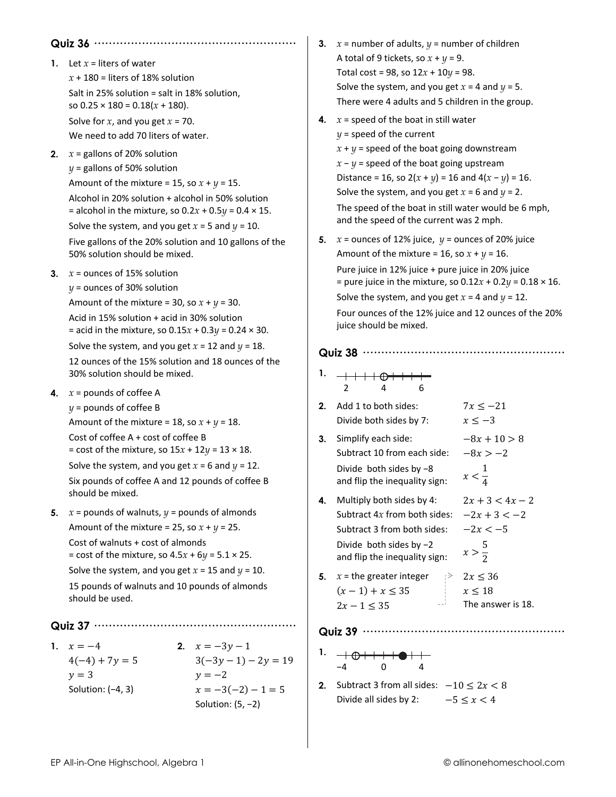#### **Quiz 36 ·······················································**

- **1.** Let  $x =$  liters of water *x* + 180 = liters of 18% solution Salt in 25% solution = salt in 18% solution, so  $0.25 \times 180 = 0.18(x + 180)$ . Solve for  $x$ , and you get  $x = 70$ . We need to add 70 liters of water.
- **2.**  $x =$  gallons of 20% solution  $y =$  gallons of 50% solution Amount of the mixture = 15, so  $x + y = 15$ . Alcohol in 20% solution + alcohol in 50% solution = alcohol in the mixture, so 0.2*x* + 0.5*y* = 0.4 × 15.

Solve the system, and you get  $x = 5$  and  $y = 10$ .

Five gallons of the 20% solution and 10 gallons of the 50% solution should be mixed.

**3.**  $x =$  ounces of 15% solution

*y* = ounces of 30% solution Amount of the mixture = 30, so  $x + y = 30$ . Acid in 15% solution + acid in 30% solution

= acid in the mixture, so 0.15*x* + 0.3*y* = 0.24 × 30.

Solve the system, and you get  $x = 12$  and  $y = 18$ . 12 ounces of the 15% solution and 18 ounces of the 30% solution should be mixed.

**4.**  $x =$  pounds of coffee A

 $y =$  pounds of coffee B Amount of the mixture = 18, so  $x + y = 18$ .

Cost of coffee A + cost of coffee B

= cost of the mixture, so  $15x + 12y = 13 \times 18$ .

Solve the system, and you get  $x = 6$  and  $y = 12$ . Six pounds of coffee A and 12 pounds of coffee B should be mixed.

**5.**  $x =$  pounds of walnuts,  $y =$  pounds of almonds Amount of the mixture = 25, so  $x + y = 25$ . Cost of walnuts + cost of almonds = cost of the mixture, so 4.5*x* + 6*y* = 5.1 × 25. Solve the system, and you get  $x = 15$  and  $y = 10$ . 15 pounds of walnuts and 10 pounds of almonds should be used.

**Quiz 37 ·······················································** 

**1.**  $x = -4$  **2.**  $x = -3y - 1$  $y = 3$   $y = -2$ 

 $4(-4) + 7y = 5$   $3(-3y - 1) - 2y = 19$ Solution: (-4, 3)  $x = -3(-2) - 1 = 5$ Solution: (5, −2)

- **3.**  $x =$  number of adults,  $y =$  number of children A total of 9 tickets, so  $x + y = 9$ . Total cost = 98, so 12*x* + 10*y* = 98. Solve the system, and you get  $x = 4$  and  $y = 5$ . There were 4 adults and 5 children in the group.
- **4.**  $x =$  speed of the boat in still water *y* = speed of the current  $x + y =$  speed of the boat going downstream  $x - y =$  speed of the boat going upstream Distance = 16, so  $2(x + y) = 16$  and  $4(x - y) = 16$ . Solve the system, and you get  $x = 6$  and  $y = 2$ . The speed of the boat in still water would be 6 mph, and the speed of the current was 2 mph.
- **5.**  $x =$  ounces of 12% juice,  $y =$  ounces of 20% juice Amount of the mixture = 16, so  $x + y = 16$ . Pure juice in 12% juice + pure juice in 20% juice = pure juice in the mixture, so  $0.12x + 0.2y = 0.18 \times 16$ . Solve the system, and you get  $x = 4$  and  $y = 12$ . Four ounces of the 12% juice and 12 ounces of the 20% juice should be mixed.

#### **Quiz 38 ·······················································**

- **1.**  2 4 6
- **2.** Add 1 to both sides:  $7x \le -21$ Divide both sides by 7:  $x \le -3$
- **3.** Simplify each side:  $-8x + 10 > 8$ Subtract 10 from each side:  $-8x > -2$ Divide both sides by −8 and flip the inequality sign: 1 4
- **4.** Multiply both sides by 4:  $2x + 3 < 4x 2$ Subtract  $4x$  from both sides:  $-2x + 3 < -2$ Subtract 3 from both sides:  $-2x < -5$ Divide both sides by −2 and flip the inequality sign:
- **5.**  $x =$  the greater integer  $\Rightarrow 2x \le 36$  $(x-1) + x \le 35$   $x \le 18$  $2x - 1 < 35$  The answer is 18.
	-

- **Quiz 39 ·······················································**
- **1.**  −4 0 4
- **2.** Subtract 3 from all sides:  $-10 \le 2x < 8$ Divide all sides by 2:  $-5 \le x < 4$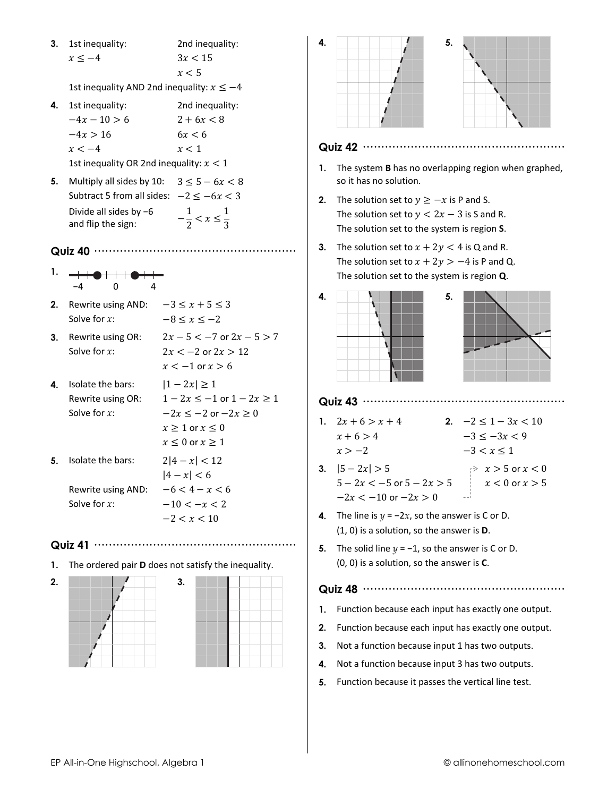3. 1st inequality: 2nd inequality:  $x \leq -4$  $3x < 15$  $x < 5$ 

1st inequality AND 2nd inequality:  $x \leq -4$ 

- 4. 1st inequality: 2nd inequality:  $-4x - 10 > 6$  $2 + 6x < 8$  $-4x > 16$  $6x < 6$  $x < -4$  $x < 1$ 1st inequality OR 2nd inequality:  $x < 1$
- **5.** Multiply all sides by 10:  $3 \le 5 6x < 8$ Subtract 5 from all sides:  $-2 < -6x < 3$ Divide all sides by  $-6$  $-\frac{1}{2} < x \leq \frac{1}{3}$ and flip the sign:
- 
- 1.
- **2.** Rewrite using AND:  $-3 \le x + 5 \le 3$ Solve for  $x$ :  $-8 \leq x \leq -2$
- 3. Rewrite using OR:  $2x - 5 < -7$  or  $2x - 5 > 7$  $2x < -2$  or  $2x > 12$ Solve for  $x$ :
- 4. Isolate the bars:  $|1-2x| \geq 1$  $1 - 2x \le -1$  or  $1 - 2x \ge 1$ Rewrite using OR: Solve for  $x$ :  $-2x \le -2$  or  $-2x \ge 0$  $x \geq 1$  or  $x \leq 0$  $x \leq 0$  or  $x \geq 1$  $2|4-x| < 12$ 5. Isolate the bars:  $|4 - x| < 6$ Rewrite using AND:

Solve for  $x$ :

 $-6 < 4 - x < 6$  $-10 < -x < 2$  $-2 < x < 10$ 

 $x < -1$  or  $x > 6$ 

- Quiz 41 ………………………………………………
- 1. The ordered pair D does not satisfy the inequality.







#### Quiz 42 ..............................

- 1. The system **B** has no overlapping region when graphed, so it has no solution.
- **2.** The solution set to  $y \geq -x$  is P and S. The solution set to  $y < 2x - 3$  is S and R. The solution set to the system is region S.
- 3. The solution set to  $x + 2y < 4$  is Q and R. The solution set to  $x + 2y > -4$  is P and Q. The solution set to the system is region Q.





#### Quiz 43 ………………………………………………

- 1.  $2x + 6 > x + 4$ 2.  $-2 \leq 1-3x < 10$  $x + 6 > 4$  $-3 \le -3x < 9$  $x > -2$  $-3 < x \leq 1$
- 3.  $|5 2x| > 5$  $\Rightarrow x > 5$  or  $x < 0$  $5 - 2x < -5$  or  $5 - 2x > 5$  $x < 0$  or  $x > 5$  $-2x < -10$  or  $-2x > 0$
- 4. The line is  $y = -2x$ , so the answer is C or D.  $(1, 0)$  is a solution, so the answer is  $D$ .
- 5. The solid line  $y = -1$ , so the answer is C or D.  $(0, 0)$  is a solution, so the answer is  $C$ .

- 1. Function because each input has exactly one output.
- 2. Function because each input has exactly one output.
- 3. Not a function because input 1 has two outputs.
- 4. Not a function because input 3 has two outputs.
- 5. Function because it passes the vertical line test.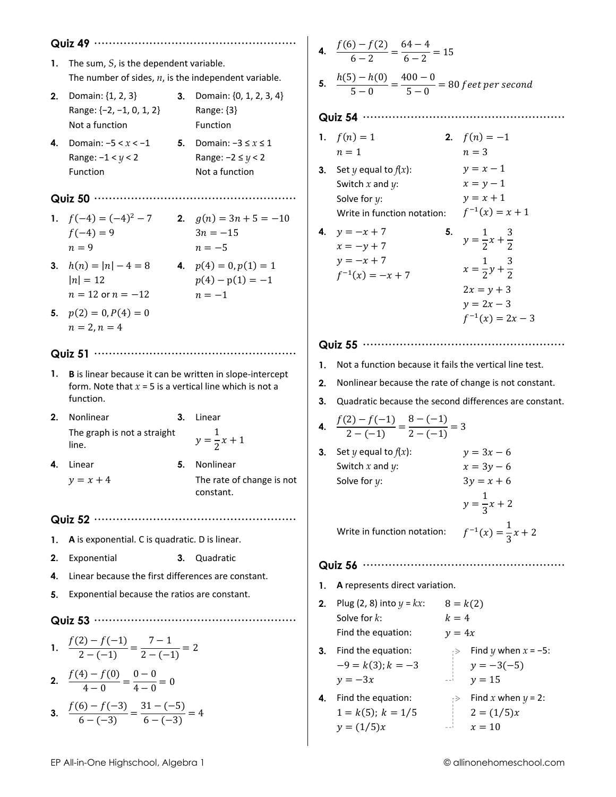- 1. The sum,  $S$ , is the dependent variable. The number of sides,  $n$ , is the independent variable.
- 2. Domain:  $\{1, 2, 3\}$ 3. Domain:  $\{0, 1, 2, 3, 4\}$ Range:  $\{-2, -1, 0, 1, 2\}$ Range: {3} Not a function Function

Range:  $-2 \le y < 2$ 

 $p(4) - p(1) = -1$ 

 $n=-1$ 

Not a function

4. Domain:  $-5 < x < -1$ 5. Domain:  $-3 \le x \le 1$ Range:  $-1 < y < 2$ Function

#### 

- 1.  $f(-4) = (-4)^2 7$ 2.  $g(n) = 3n + 5 = -10$  $3n = -15$  $f(-4) = 9$  $n = -5$  $n = 9$
- 3.  $h(n) = |n| 4 = 8$ 4.  $p(4) = 0, p(1) = 1$  $|n| = 12$  $n = 12$  or  $n = -12$
- 5.  $p(2) = 0, P(4) = 0$  $n = 2, n = 4$

#### Quiz 51 ………………………………………………

- 1. B is linear because it can be written in slope-intercept form. Note that  $x = 5$  is a vertical line which is not a function.
- 2. Nonlinear 3. Linear The graph is not a straight  $y = \frac{1}{2}x + 1$ line.
- 4. Linear  $y = x + 4$
- 5. Nonlinear

constant.

The rate of change is not

- 
- 1. A is exponential. C is quadratic. D is linear.
- 2. Exponential 3. Quadratic
- 4. Linear because the first differences are constant.
- 5. Exponential because the ratios are constant.

#### Quiz 53 ............

1. 
$$
\frac{f(2) - f(-1)}{2 - (-1)} = \frac{7 - 1}{2 - (-1)} = 2
$$

2. 
$$
\frac{f(4) - f(0)}{4 - 0} = \frac{0 - 0}{4 - 0} = 0
$$
  
3. 
$$
\frac{f(6) - f(-3)}{6 - (-3)} = \frac{31 - (-5)}{6 - (-3)} = 4
$$

4. 
$$
\frac{f(6) - f(2)}{6 - 2} = \frac{64 - 4}{6 - 2} = 15
$$

5.  $\frac{h(5)-h(0)}{5-0}=\frac{400-0}{5-0}=80$  feet per second

#### 

|    | 1. $f(n) = 1$               |    | 2. $f(n) = -1$                   |
|----|-----------------------------|----|----------------------------------|
|    | $n=1$                       |    | $n=3$                            |
| 3. | Set y equal to $f(x)$ :     |    | $y = x - 1$                      |
|    | Switch $x$ and $y$ :        |    | $x = y - 1$                      |
|    | Solve for $y$ :             |    | $y = x + 1$                      |
|    | Write in function notation: |    | $f^{-1}(x) = x + 1$              |
| 4. | $y = -x + 7$                | 5. | $y = \frac{1}{2}x + \frac{3}{2}$ |
|    | $x = -y + 7$                |    |                                  |
|    | $y = -x + 7$                |    | $x = \frac{1}{2}y + \frac{3}{2}$ |
|    | $f^{-1}(x) = -x + 7$        |    |                                  |
|    |                             |    | $2x = y + 3$                     |
|    |                             |    | $y = 2x - 3$                     |
|    |                             |    | $f^{-1}(x) = 2x - 3$             |

#### 

- 1. Not a function because it fails the vertical line test.
- 2. Nonlinear because the rate of change is not constant.
- 3. Quadratic because the second differences are constant.

4. 
$$
\frac{f(2)-f(-1)}{2-(-1)} = \frac{8-(-1)}{2-(-1)} = 3
$$

3. Set  $y$  equal to  $f(x)$ :  $y = 3x - 6$ Switch  $x$  and  $y$ :  $x = 3y - 6$  $3y = x + 6$ Solve for  $y$ :  $y = \frac{1}{3}x + 2$  $f^{-1}(x) = \frac{1}{3}x + 2$ Write in function notation:

- 1. A represents direct variation.
- **2.** Plug (2, 8) into  $y = kx$ :  $8 = k(2)$ Solve for k:  $k=4$ Find the equation:  $v = 4x$
- 3. Find the equation:  $\Rightarrow$  Find y when  $x = -5$ :  $-9 = k(3); k = -3$  $y = -3(-5)$  $y=15$  $y = -3x$
- 4. Find the equation:  $\Rightarrow$  Find x when  $y = 2$ :  $1 = k(5); k = 1/5$  $2 = (1/5)x$  $y = (1/5)x$  $x=10$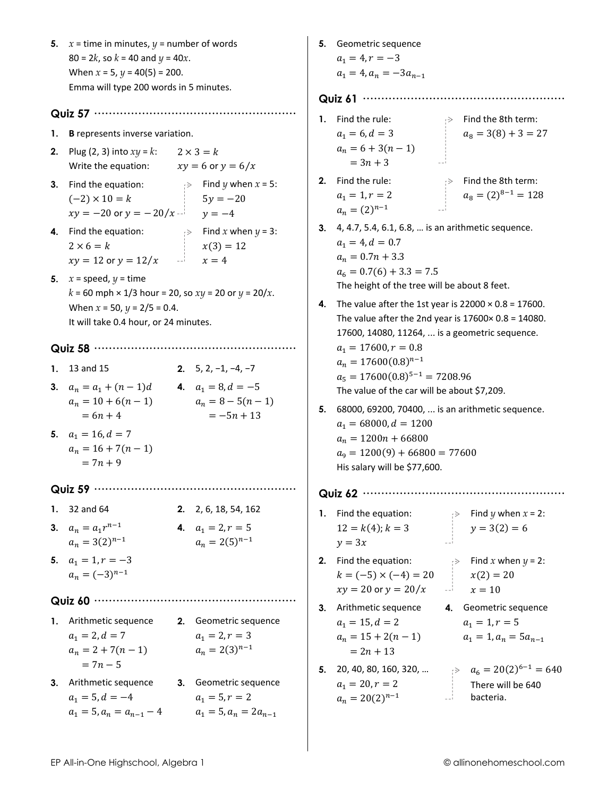5.  $x =$  time in minutes,  $y =$  number of words  $80 = 2k$ , so  $k = 40$  and  $\gamma = 40x$ . When  $x = 5$ ,  $y = 40(5) = 200$ . Emma will type 200 words in 5 minutes. 1. B represents inverse variation. **2.** Plug (2, 3) into  $xy = k$ :  $2 \times 3 = k$ Write the equation:  $xy = 6$  or  $y = 6/x$ **3.** Find the equation:  $\Rightarrow$  Find *y* when *x* = 5:  $(-2) \times 10 = k$  $5y = -20$  $xy = -20$  or  $y = -20/x$   $y = -4$ 4. Find the equation:  $\Rightarrow$  Find x when  $y = 3$ :  $2 \times 6 = k$  $x(3) = 12$  $xy = 12$  or  $y = 12/x$  $x=4$ 5.  $x = speed, y = time$  $k = 60$  mph  $\times$  1/3 hour = 20, so  $xy = 20$  or  $y = 20/x$ . When  $x = 50$ ,  $y = 2/5 = 0.4$ . It will take 0.4 hour, or 24 minutes. 1. 13 and 15 2.  $5, 2, -1, -4, -7$ 3.  $a_n = a_1 + (n-1)d$ 4.  $a_1 = 8, d = -5$  $a_n = 10 + 6(n-1)$  $a_n = 8 - 5(n-1)$  $= 6n + 4$  $=-5n+13$ 5.  $a_1 = 16, d = 7$  $a_n = 16 + 7(n - 1)$  $= 7n + 9$ 1.  $32$  and  $64$ 2. 2, 6, 18, 54, 162 3.  $a_n = a_1 r^{n-1}$ 4.  $a_1 = 2, r = 5$  $a_n = 2(5)^{n-1}$  $a_n = 3(2)^{n-1}$ 5.  $a_1 = 1, r = -3$  $a_n = (-3)^{n-1}$ 1. Arithmetic sequence 2. Geometric sequence  $a_1 = 2, d = 7$  $a_1 = 2, r = 3$  $a_n = 2(3)^{n-1}$  $a_n = 2 + 7(n - 1)$  $= 7n - 5$ 3. Arithmetic sequence 3. Geometric sequence  $a_1 = 5, d = -4$  $a_1 = 5, r = 2$  $a_1 = 5, a_n = a_{n-1} - 4$  $a_1 = 5, a_n = 2a_{n-1}$ 

5. Geometric sequence  $a_1 = 4, r = -3$  $a_1 = 4$ ,  $a_n = -3a_{n-1}$ 1. Find the rule:  $\Rightarrow$  Find the 8th term:  $a_1 = 6, d = 3$  $a_8 = 3(8) + 3 = 27$  $a_n = 6 + 3(n - 1)$  $= 3n + 3$ 2. Find the rule:  $\Rightarrow$  Find the 8th term:  $a_8 = (2)^{8-1} = 128$  $a_1 = 1, r = 2$  $a_n = (2)^{n-1}$ 3. 4, 4.7, 5.4, 6.1, 6.8, ... is an arithmetic sequence.  $a_1 = 4, d = 0.7$  $a_n = 0.7n + 3.3$  $a_6 = 0.7(6) + 3.3 = 7.5$ The height of the tree will be about 8 feet. 4. The value after the 1st year is  $22000 \times 0.8 = 17600$ . The value after the 2nd year is  $17600 \times 0.8 = 14080$ . 17600, 14080, 11264, ... is a geometric sequence.  $a_1 = 17600, r = 0.8$  $a_n = 17600(0.8)^{n-1}$  $a_5 = 17600(0.8)^{5-1} = 7208.96$ The value of the car will be about \$7,209. 5. 68000, 69200, 70400, ... is an arithmetic sequence.  $a_1 = 68000, d = 1200$  $a_n = 1200n + 66800$  $a<sub>9</sub> = 1200(9) + 66800 = 77600$ His salary will be \$77,600. 1. Find the equation:  $\Rightarrow$  Find y when  $x = 2$ :  $y = 3(2) = 6$  $12 = k(4)$ ;  $k = 3$  $v=3x$  $\Rightarrow$  Find x when  $y = 2$ : 2. Find the equation:  $k = (-5) \times (-4) = 20$  $x(2) = 20$  $\begin{array}{c|c}\n\hline\nx = 10\n\end{array}$  $xy = 20$  or  $y = 20/x$ 3. Arithmetic sequence 4. Geometric sequence  $a_1 = 15, d = 2$  $a_1 = 1, r = 5$  $a_n = 15 + 2(n - 1)$  $a_1 = 1, a_n = 5a_{n-1}$  $= 2n + 13$ **5.** 20, 40, 80, 160, 320, ...  $a_6 = 20(2)^{6-1} = 640$  $a_1 = 20, r = 2$ There will be 640 -- bacteria.  $a_n = 20(2)^{n-1}$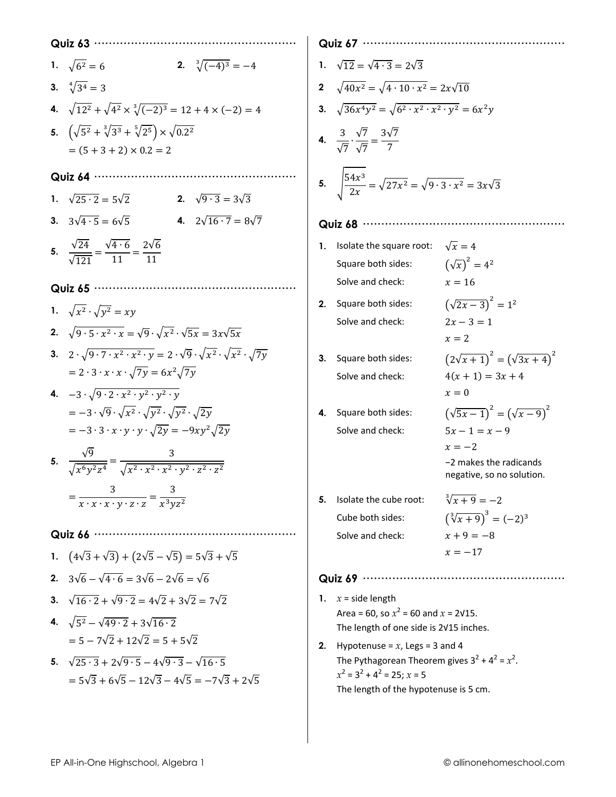| Quiz 63                                                                                                                                                  |
|----------------------------------------------------------------------------------------------------------------------------------------------------------|
| 2. $\sqrt[3]{(-4)^3} = -4$<br>1. $\sqrt{6^2} = 6$                                                                                                        |
| 3. $\sqrt[4]{3^4} = 3$                                                                                                                                   |
| 4. $\sqrt{12^2} + \sqrt{4^2} \times \sqrt[3]{(-2)^3} = 12 + 4 \times (-2) = 4$                                                                           |
| 5. $(\sqrt{5^2} + \sqrt[3]{3^3} + \sqrt[5]{2^5}) \times \sqrt{0.2^2}$                                                                                    |
| $= (5 + 3 + 2) \times 0.2 = 2$                                                                                                                           |
| Quiz 64                                                                                                                                                  |
| 1. $\sqrt{25 \cdot 2} = 5\sqrt{2}$<br><b>2.</b> $\sqrt{9 \cdot 3} = 3\sqrt{3}$                                                                           |
| 4. $2\sqrt{16\cdot 7} = 8\sqrt{7}$<br>3. $3\sqrt{4\cdot 5} = 6\sqrt{5}$                                                                                  |
| 5. $\frac{\sqrt{24}}{\sqrt{121}} = \frac{\sqrt{4 \cdot 6}}{11} = \frac{2\sqrt{6}}{11}$                                                                   |
| Quiz 65 ···········                                                                                                                                      |
| 1. $\sqrt{x^2} \cdot \sqrt{y^2} = xy$                                                                                                                    |
| 2. $\sqrt{9 \cdot 5 \cdot x^2 \cdot x} = \sqrt{9} \cdot \sqrt{x^2} \cdot \sqrt{5x} = 3x\sqrt{5x}$                                                        |
| 3. $2 \cdot \sqrt{9 \cdot 7 \cdot x^2 \cdot x^2 \cdot y} = 2 \cdot \sqrt{9} \cdot \sqrt{x^2} \cdot \sqrt{x^2} \cdot \sqrt{7y}$                           |
| $= 2 \cdot 3 \cdot x \cdot x \cdot \sqrt{7y} = 6x^2 \sqrt{7y}$                                                                                           |
| 4. $-3\cdot\sqrt{9\cdot 2\cdot x^2\cdot y^2\cdot y^2\cdot y}$                                                                                            |
| $=-3\cdot\sqrt{9}\cdot\sqrt{x^2}\cdot\sqrt{y^2}\cdot\sqrt{y^2}\cdot\sqrt{2y}$<br>$=-3 \cdot 3 \cdot x \cdot y \cdot y \cdot \sqrt{2y} = -9xy^2\sqrt{2y}$ |
|                                                                                                                                                          |
| 5. $\frac{\sqrt{9}}{\sqrt{x^6 y^2 z^4}} = \frac{3}{\sqrt{x^2 + x^2 + x^2 + y^2 + z^2 + z^2}}$                                                            |
| $=\frac{3}{x \cdot x \cdot x \cdot y \cdot z \cdot z}=\frac{3}{x^3yz^2}$                                                                                 |
|                                                                                                                                                          |
| Quiz 66                                                                                                                                                  |
| 1. $(4\sqrt{3} + \sqrt{3}) + (2\sqrt{5} - \sqrt{5}) = 5\sqrt{3} + \sqrt{5}$                                                                              |
| 2. $3\sqrt{6} - \sqrt{4 \cdot 6} = 3\sqrt{6} - 2\sqrt{6} = \sqrt{6}$                                                                                     |
| 3. $\sqrt{16 \cdot 2} + \sqrt{9 \cdot 2} = 4\sqrt{2} + 3\sqrt{2} = 7\sqrt{2}$                                                                            |
| 4. $\sqrt{5^2} - \sqrt{49 \cdot 2} + 3\sqrt{16 \cdot 2}$                                                                                                 |
| $= 5 - 7\sqrt{2} + 12\sqrt{2} = 5 + 5\sqrt{2}$                                                                                                           |
| 5. $\sqrt{25 \cdot 3} + 2\sqrt{9 \cdot 5} - 4\sqrt{9 \cdot 3} - \sqrt{16 \cdot 5}$                                                                       |
| $= 5\sqrt{3} + 6\sqrt{5} - 12\sqrt{3} - 4\sqrt{5} = -7\sqrt{3} + 2\sqrt{5}$                                                                              |

# 1.  $\sqrt{12} = \sqrt{4 \cdot 3} = 2\sqrt{3}$ **2**  $\sqrt{40x^2} = \sqrt{4 \cdot 10 \cdot x^2} = 2x\sqrt{10}$ 3.  $\sqrt{36x^4y^2} = \sqrt{6^2 \cdot x^2 \cdot x^2 \cdot y^2} = 6x^2y$ **4.**  $rac{3}{\sqrt{7}} \cdot \frac{\sqrt{7}}{\sqrt{7}} = \frac{3\sqrt{7}}{7}$ 5.  $\sqrt{\frac{54x^3}{2x}} = \sqrt{27x^2} = \sqrt{9 \cdot 3 \cdot x^2} = 3x\sqrt{3}$

- **1.** Isolate the square root:  $\sqrt{x} = 4$  $(\sqrt{x})^2 = 4^2$ Square both sides:  $x=16$ Solve and check:
- $(\sqrt{2x-3})^2 = 1^2$ 2. Square both sides: Solve and check:

3. Square both sides: Solve and check:

4. Square both sides: Solve and check:

$$
2x - 3 = 1
$$
  
\n
$$
x = 2
$$
  
\n
$$
(2\sqrt{x+1})^2 = (\sqrt{3x+4})^2
$$
  
\n
$$
4(x + 1) = 3x + 4
$$
  
\n
$$
x = 0
$$
  
\n
$$
(\sqrt{5x-1})^2 = (\sqrt{x-9})^2
$$
  
\n
$$
5x - 1 = x - 9
$$

-2 makes the radicands negative, so no solution.

 $x=-2$ 

5. Isolate the cube root: Cube both sides: Solve and check:

## $\sqrt[3]{x+9} = -2$  $\left(\sqrt[3]{x+9}\right)^3 = (-2)^3$  $x + 9 = -8$  $x = -17$

- 1.  $x = side$  length Area = 60, so  $x^2$  = 60 and  $x$  = 2 $\sqrt{15}$ . The length of one side is 2V15 inches.
- 2. Hypotenuse =  $x$ , Legs = 3 and 4 The Pythagorean Theorem gives  $3^2 + 4^2 = x^2$ .  $x^2 = 3^2 + 4^2 = 25; x = 5$ The length of the hypotenuse is 5 cm.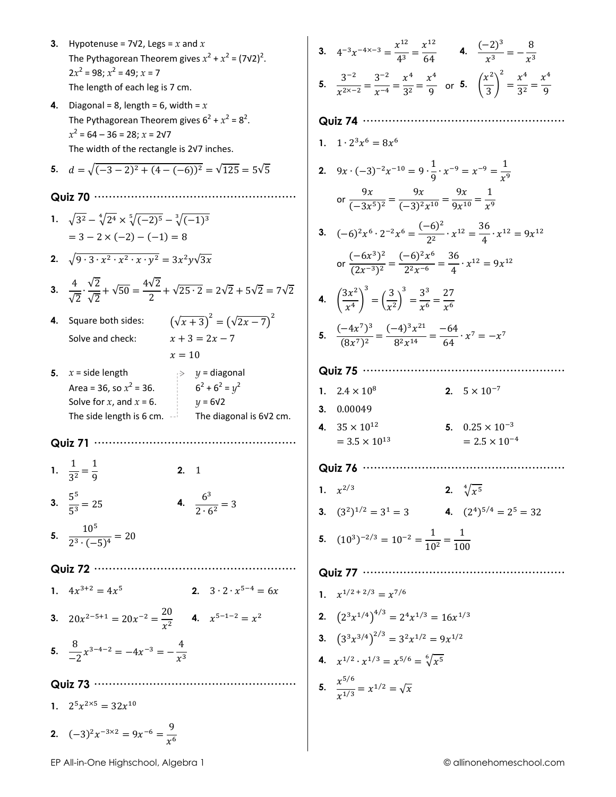- 3. Hypotenuse =  $7\sqrt{2}$ , Legs = x and x The Pythagorean Theorem gives  $x^2 + x^2 = (7\sqrt{2})^2$ .  $2x^2 = 98$ ;  $x^2 = 49$ ;  $x = 7$ The length of each leg is 7 cm.
- 4. Diagonal = 8, length = 6, width =  $x$ The Pythagorean Theorem gives  $6^2 + x^2 = 8^2$ .  $x^2 = 64 - 36 = 28$ ;  $x = 2\sqrt{7}$ The width of the rectangle is 2v7 inches.

5. 
$$
d = \sqrt{(-3-2)^2 + (4-(-6))^2} = \sqrt{125} = 5\sqrt{5}
$$

- Quiz 70 ..................
- 1.  $\sqrt{3^2} \sqrt[4]{2^4} \times \sqrt[5]{(-2)^5} \sqrt[3]{(-1)^3}$  $= 3 - 2 \times (-2) - (-1) = 8$
- 2.  $\sqrt{9 \cdot 3 \cdot x^2 \cdot x^2 \cdot x \cdot y^2} = 3x^2y\sqrt{3x}$
- 3.  $\frac{4}{\sqrt{2}} \cdot \frac{\sqrt{2}}{\sqrt{2}} + \sqrt{50} = \frac{4\sqrt{2}}{2} + \sqrt{25 \cdot 2} = 2\sqrt{2} + 5\sqrt{2} = 7\sqrt{2}$
- 4. Square both sides: Solve and check:

$$
x + 3 = 2x - 7
$$
  

$$
x = 10
$$

 $(\sqrt{x+3})^2 = (\sqrt{2x-7})^2$ 

- 5.  $x = side$  length  $\Rightarrow y =$  diagonal Area = 36, so  $x^2$  = 36.  $6^2 + 6^2 = y^2$ Solve for  $x$ , and  $x = 6$ .  $y = 6\sqrt{2}$ The side length is 6 cm.  $-$ The diagonal is 6V2 cm.
- Quiz 71 ………
- 1.  $\frac{1}{2^2} = \frac{1}{2}$  $2.1$ 3.  $\frac{5^5}{5^3} = 25$ 4.  $\frac{6^3}{2 \cdot 6^2} = 3$
- 5.  $\frac{10^5}{2^3 \cdot (-5)^4} = 20$
- Quiz 72 ······························· 1.  $4x^{3+2} = 4x^5$ <br>2.  $3 \cdot 2 \cdot x^{5-4} = 6x$
- **3.**  $20x^{2-5+1} = 20x^{-2} = \frac{20}{x^2}$  **4.**  $x^{5-1-2} = x^2$
- 5.  $\frac{8}{2}x^{3-4-2} = -4x^{-3} = -\frac{4}{x^3}$
- 
- 1.  $2^5 x^{2 \times 5} = 32x^{10}$

2. 
$$
(-3)^2 x^{-3 \times 2} = 9x^{-6} = \frac{9}{x^6}
$$

**3.**  $4^{-3}x^{-4x-3} = \frac{x^{12}}{4^3} = \frac{x^{12}}{64}$  **4.**  $\frac{(-2)^3}{x^3} = -\frac{8}{x^3}$ 5.  $\frac{3^{-2}}{x^{2 \times -2}} = \frac{3^{-2}}{x^{-4}} = \frac{x^4}{3^2} = \frac{x^4}{9}$  or 5.  $\left(\frac{x^2}{3}\right)^2 = \frac{x^4}{3^2} = \frac{x^4}{9}$ 

## 

- 1.  $1 \cdot 2^3 x^6 = 8x^6$
- 2.  $9x \cdot (-3)^{-2}x^{-10} = 9 \cdot \frac{1}{9} \cdot x^{-9} = x^{-9} = \frac{1}{x^9}$ or  $\frac{9x}{(-3x^5)^2} = \frac{9x}{(-3)^2x^{10}} = \frac{9x}{9x^{10}} = \frac{1}{x^9}$
- **3.**  $(-6)^2 x^6 \cdot 2^{-2} x^6 = \frac{(-6)^2}{2^2} \cdot x^{12} = \frac{36}{4} \cdot x^{12} = 9x^{12}$
- or  $\frac{(-6x^3)^2}{(2x^{-3})^2} = \frac{(-6)^2x^6}{2^2x^{-6}} = \frac{36}{4} \cdot x^{12} = 9x^{12}$ 4.  $\left(\frac{3x^2}{x^4}\right)^3 = \left(\frac{3}{x^2}\right)^3 = \frac{3^3}{x^6} = \frac{27}{x^6}$
- 5.  $\frac{(-4x^7)^3}{(8x^7)^2} = \frac{(-4)^3x^{21}}{8^2x^{14}} = \frac{-64}{64} \cdot x^7 = -x^7$

## Quiz 75 ·····························

- 1.  $2.4 \times 10^8$ 2.  $5 \times 10^{-7}$
- 3. 0.00049
- 4.  $35 \times 10^{12}$ 5.  $0.25 \times 10^{-3}$  $= 3.5 \times 10^{13}$  $= 2.5 \times 10^{-4}$

## 

- 1.  $x^{2/3}$ **2.**  $\sqrt[4]{x^5}$
- **3.**  $(3^2)^{1/2} = 3^1 = 3$  **4.**  $(2^4)^{5/4} = 2^5 = 32$
- 5.  $(10^3)^{-2/3} = 10^{-2} = \frac{1}{10^2} = \frac{1}{100}$

## 

1. 
$$
x^{1/2 + 2/3} = x^{7/6}
$$

- 2.  $(2^3x^{1/4})^{4/3} = 2^4x^{1/3} = 16x^{1/3}$
- 3.  $(3^3x^{3/4})^{2/3} = 3^2x^{1/2} = 9x^{1/2}$
- 4.  $x^{1/2} \cdot x^{1/3} = x^{5/6} = \sqrt[6]{x^5}$

$$
5. \quad \frac{x^{5/6}}{x^{1/3}} = x^{1/2} = \sqrt{x}
$$

EP All-in-One Highschool, Algebra 1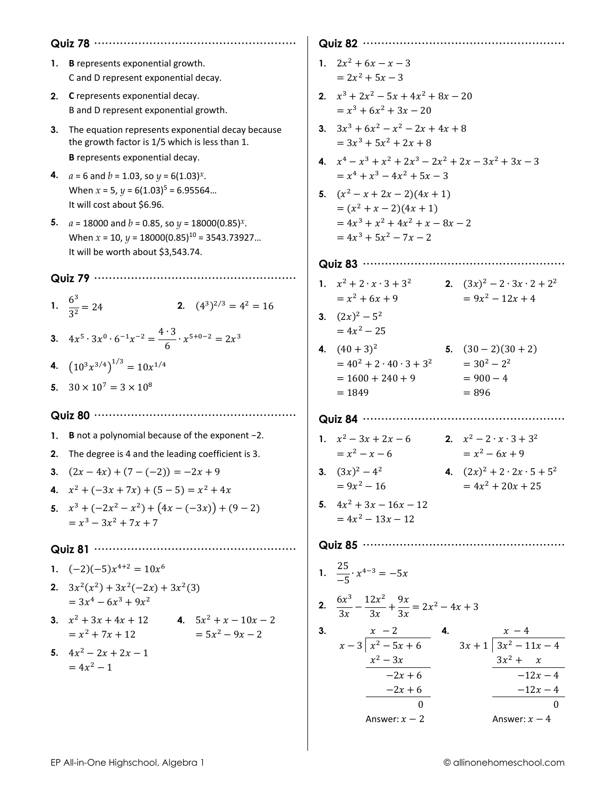| 1. B represents exponential growth.<br>C and D represent exponential decay.                                                                                                                     |    | 1. $2x^2 + 6x - x - 3$<br>$= 2x^2 + 5x - 3$                                                                                                               |
|-------------------------------------------------------------------------------------------------------------------------------------------------------------------------------------------------|----|-----------------------------------------------------------------------------------------------------------------------------------------------------------|
| 2. C represents exponential decay.<br>B and D represent exponential growth.                                                                                                                     |    | 2. $x^3 + 2x^2 - 5x + 4x^2 + 8x - 20$<br>$= x^3 + 6x^2 + 3x - 20$                                                                                         |
| 3. The equation represents exponential decay because<br>the growth factor is 1/5 which is less than 1.<br>B represents exponential decay.<br>4. $a = 6$ and $b = 1.03$ , so $y = 6(1.03)^{x}$ . |    | 3. $3x^3 + 6x^2 - x^2 - 2x + 4x + 8$<br>$= 3x^3 + 5x^2 + 2x + 8$<br>4. $x^4 - x^3 + x^2 + 2x^3 - 2x^2 + 2x - 3x^2 + 3x - 3$<br>$= x4 + x3 - 4x2 + 5x - 3$ |
| When $x = 5$ , $y = 6(1.03)^5 = 6.95564$<br>It will cost about \$6.96.                                                                                                                          |    | 5. $(x^2 - x + 2x - 2)(4x + 1)$<br>$=(x^2+x-2)(4x+1)$                                                                                                     |
| 5. $a = 18000$ and $b = 0.85$ , so $y = 18000(0.85)^{x}$ .<br>When $x = 10$ , $y = 18000(0.85)^{10} = 3543.73927$<br>It will be worth about \$3,543.74.                                         |    | $= 4x^3 + x^2 + 4x^2 + x - 8x - 2$<br>$= 4x^3 + 5x^2 - 7x - 2$                                                                                            |
|                                                                                                                                                                                                 |    |                                                                                                                                                           |
| 1. $\frac{6^3}{3^2} = 24$<br><b>2.</b> $(4^3)^{2/3} = 4^2 = 16$                                                                                                                                 |    | 1. $x^2 + 2 \cdot x \cdot 3 + 3^2$<br>2. $(3x)^2 - 2 \cdot 3x \cdot 2 + 2^2$<br>$= 9x^2 - 12x + 4$<br>$= x^2 + 6x + 9$                                    |
| 3. $4x^5 \cdot 3x^0 \cdot 6^{-1}x^{-2} = \frac{4 \cdot 3}{6} \cdot x^{5+0-2} = 2x^3$                                                                                                            |    | 3. $(2x)^2 - 5^2$<br>$= 4x^2 - 25$                                                                                                                        |
| 4. $(10^3 x^{3/4})^{1/3} = 10x^{1/4}$                                                                                                                                                           |    | <b>4.</b> $(40+3)^2$<br><b>5.</b> $(30-2)(30+2)$<br>$= 40^2 + 2 \cdot 40 \cdot 3 + 3^2$ $= 30^2 - 2^2$                                                    |
| 5. $30 \times 10^7 = 3 \times 10^8$                                                                                                                                                             |    | $= 900 - 4$<br>$= 1600 + 240 + 9$<br>$= 1849$<br>$= 896$                                                                                                  |
|                                                                                                                                                                                                 |    |                                                                                                                                                           |
| 1. B not a polynomial because of the exponent $-2$ .                                                                                                                                            |    | 1. $x^2-3x+2x-6$<br>2. $x^2-2 \cdot x \cdot 3 + 3^2$                                                                                                      |
| 2. The degree is 4 and the leading coefficient is 3.                                                                                                                                            |    | $= x^2 - 6x + 9$<br>$= x^2 - x - 6$                                                                                                                       |
| 3. $(2x-4x)+(7-(-2))=-2x+9$                                                                                                                                                                     |    | 3. $(3x)^2 - 4^2$<br>4. $(2x)^2 + 2 \cdot 2x \cdot 5 + 5^2$                                                                                               |
| 4. $x^2 + (-3x + 7x) + (5 - 5) = x^2 + 4x$                                                                                                                                                      |    | $= 9x^2 - 16$<br>$= 4x^2 + 20x + 25$                                                                                                                      |
| 5. $x^3 + (-2x^2 - x^2) + (4x - (-3x)) + (9 - 2)$<br>$= x^3 - 3x^2 + 7x + 7$                                                                                                                    |    | 5. $4x^2 + 3x - 16x - 12$<br>$= 4x^2 - 13x - 12$                                                                                                          |
| Quiz 81                                                                                                                                                                                         |    |                                                                                                                                                           |
| 1. $(-2)(-5)x^{4+2} = 10x^6$                                                                                                                                                                    |    | 1. $\frac{25}{-5} \cdot x^{4-3} = -5x$                                                                                                                    |
| 2. $3x^2(x^2) + 3x^2(-2x) + 3x^2(3)$<br>$= 3x^4 - 6x^3 + 9x^2$                                                                                                                                  |    | 2. $\frac{6x^3}{3x} - \frac{12x^2}{3x} + \frac{9x}{3x} = 2x^2 - 4x + 3$                                                                                   |
| 3. $x^2 + 3x + 4x + 12$<br>4. $5x^2 + x - 10x - 2$<br>$= 5x^2 - 9x - 2$<br>$= x^2 + 7x + 12$                                                                                                    | 3. | $\begin{array}{c c}\n x - 2 & 4. & x - 4 \\  x - 3 \overline{\smash{\big)}\ x^2 - 5x + 6} & 3x + 1 \overline{\smash{\big)}\ 3x^2 - 11x - 4}\n\end{array}$ |
| 5. $4x^2-2x+2x-1$<br>$= 4x^2 - 1$                                                                                                                                                               |    | $\frac{x^2-3x}{-2x+6}$<br>$\frac{3x^2 + x}{x}$<br>$-12x-4$<br>$\frac{-12x-4}{0}$<br>$\frac{-2x+6}{0}$<br>Answer: $x - 2$<br>Answer: $x - 4$               |

 $\overline{\phantom{a}}$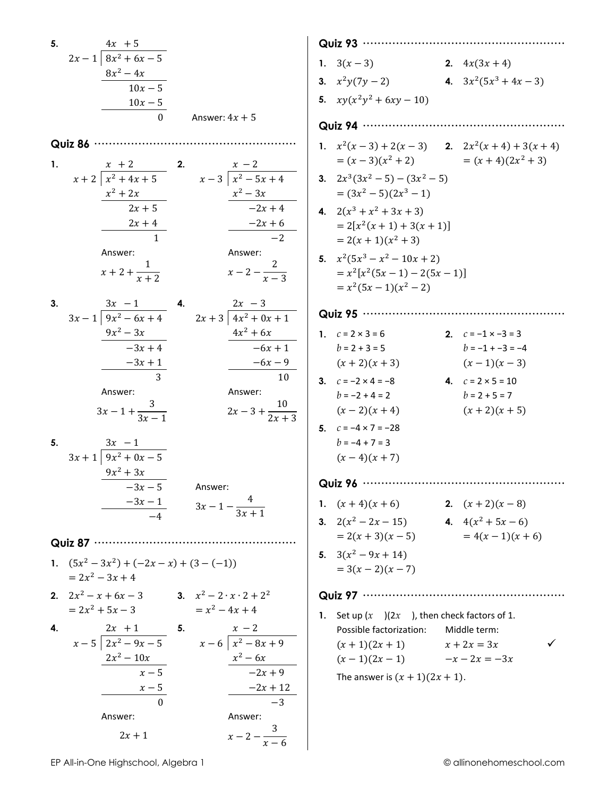6. 
$$
2x + 1
$$
  $\frac{4x + 5}{10x + 5}$   
\n $\frac{10x - 5}{10x - 5}$   
\n $\frac{10x - 5}{10x - 5}$   
\n $\frac{10x - 5}{10x - 5}$   
\n $\frac{10x - 5}{10x - 5}$   
\n $\frac{10x - 5}{10x - 5}$   
\n $\frac{x + 2}{10x^2 + 4x + 5}$   
\n $\frac{x + 2}{2x + 5}$   
\n $\frac{x^2 - 2x + 4}{2x + 5}$   
\n $\frac{x^2 - 2x + 4}{2x + 5}$   
\n $\frac{2x + 4}{2x + 5}$   
\nAnswer:  
\n $\frac{x + 2}{2x + 5}$   
\n $\frac{x^2 - 3x}{-2x + 4}$   
\nAnswer:  
\n $\frac{9x^2 - 6x + 4}{-3x + 4}$   
\n $\frac{9x^2 - 6x + 4}{-3x + 4}$   
\nAnswer:  
\n $\frac{9x^2 - 3x + 4}{2x + 5}$   
\nAnswer:  
\n $\frac{9x^2 - 3x}{-2x + 4}$   
\nAnswer:  
\n $\frac{9x^2 - 3x}{-2x + 4}$   
\nAnswer:  
\n $\frac{9x^2 - 3x}{-2x + 4}$   
\nAnswer:  
\n $\frac{9x^2 - 3x}{-3x + 4}$   
\nAnswer:  
\n $\frac{9x - 3}{3x + 1}$   
\nAnswer:  
\n $\frac{3x - 1}{-6x + 1}$   
\nAnswer:  
\n $\frac{9x - 3}{3x + 1}$   
\nAnswer:  
\n $\frac{3x - 1}{2x + 5}$   
\n $\frac{3x - 1}{2x + 5}$   
\nAnswer:  
\n $\frac{-6x - 1}{x + 2x + 3}$   
\nAnswer:  
\n $\frac{-6x - 1}{x + 2x + 3}$   
\n $\frac{6x - 2x + 5}{x - 2x + 3}$ <

 $\Big\}$ 

EP All-in-One Highschool, Algebra 1

 $2x + 1$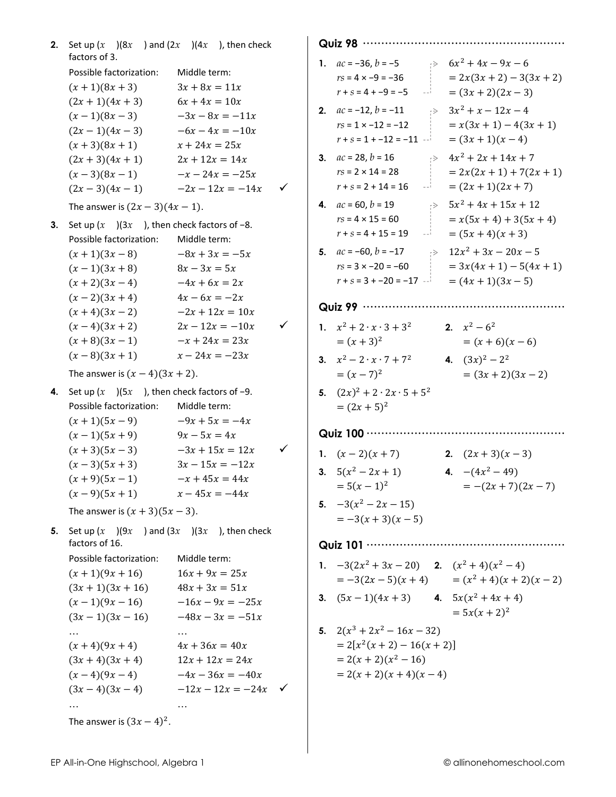|    | <b>2.</b> Set up $(x \mid)(8x)$ and $(2x \mid)(4x)$ , then check<br>factors of 3. |                   |              |                                                                         |
|----|-----------------------------------------------------------------------------------|-------------------|--------------|-------------------------------------------------------------------------|
|    | Possible factorization:                                                           | Middle term:      |              | 1. $ac = -36$ , $b = -5$ $\Rightarrow$ $6x^2 + 4x - 9x - 6$             |
|    |                                                                                   |                   |              | $rs = 4 \times -9 = -36$<br>$= 2x(3x + 2) - 3(3x + 2)$                  |
|    | $(x + 1)(8x + 3)$                                                                 | $3x + 8x = 11x$   |              | $r + s = 4 - 9 = -5$<br>$=(3x+2)(2x-3)$                                 |
|    | $(2x+1)(4x+3)$                                                                    | $6x + 4x = 10x$   |              | 2. $ac = -12$ , $b = -11$ $\Rightarrow$ $3x^2 + x - 12x - 4$            |
|    | $(x-1)(8x-3)$                                                                     | $-3x - 8x = -11x$ |              | $rs = 1 \times -12 = -12$<br>$= x(3x + 1) - 4(3x + 1)$                  |
|    | $(2x-1)(4x-3)$                                                                    | $-6x - 4x = -10x$ |              | $r + s = 1 - 12 = -11$<br>$=(3x+1)(x-4)$                                |
|    | $(x + 3)(8x + 1)$                                                                 | $x + 24x = 25x$   |              | $\Rightarrow$ 4x <sup>2</sup> + 2x + 14x + 7<br>3. $ac = 28$ , $b = 16$ |
|    | $(2x + 3)(4x + 1)$                                                                | $2x + 12x = 14x$  |              | $rs = 2 \times 14 = 28$<br>$= 2x(2x + 1) + 7(2x + 1)$                   |
|    | $(x-3)(8x-1)$ $-x-24x = -25x$                                                     |                   |              |                                                                         |
|    | $(2x-3)(4x-1)$ $-2x-12x = -14x$                                                   |                   | $\checkmark$ | $r + s = 2 + 14 = 16$<br>$=(2x+1)(2x+7)$<br>$-1$                        |
|    | The answer is $(2x - 3)(4x - 1)$ .                                                |                   |              | $\Rightarrow$ 5x <sup>2</sup> + 4x + 15x + 12<br>4. $ac = 60, b = 19$   |
| 3. | Set up $(x \cdot)(3x \cdot)$ , then check factors of -8.                          |                   |              | $= x(5x + 4) + 3(5x + 4)$<br>$rs = 4 \times 15 = 60$                    |
|    | Possible factorization:                                                           | Middle term:      |              | $=(5x+4)(x+3)$<br>$r + s = 4 + 15 = 19$<br>$-1$                         |
|    | $(x+1)(3x-8)$                                                                     | $-8x + 3x = -5x$  |              | 5. $ac = -60, b = -17$ $\Rightarrow 12x^2 + 3x - 20x - 5$               |
|    | $(x-1)(3x+8)$                                                                     | $8x - 3x = 5x$    |              | $= 3x(4x + 1) - 5(4x + 1)$<br>$rs = 3 \times -20 = -60$                 |
|    | $(x + 2)(3x - 4)$                                                                 | $-4x + 6x = 2x$   |              | $r + s = 3 - 20 = -17$ $-1 = (4x + 1)(3x - 5)$                          |
|    | $(x-2)(3x+4)$                                                                     | $4x - 6x = -2x$   |              |                                                                         |
|    | $(x+4)(3x-2)$                                                                     | $-2x + 12x = 10x$ |              |                                                                         |
|    | $(x-4)(3x+2)$                                                                     | $2x - 12x = -10x$ | $\checkmark$ | 1. $x^2 + 2 \cdot x \cdot 3 + 3^2$<br>2. $x^2 - 6^2$                    |
|    | $(x+8)(3x-1)$                                                                     | $-x + 24x = 23x$  |              | $=(x+3)^2$<br>$=(x+6)(x-6)$                                             |
|    | $(x-8)(3x+1)$                                                                     | $x - 24x = -23x$  |              | 3. $x^2-2\cdot x\cdot 7+7^2$<br>4. $(3x)^2 - 2^2$                       |
|    | The answer is $(x-4)(3x + 2)$ .                                                   |                   |              | $=(x-7)^2$<br>$=(3x+2)(3x-2)$                                           |
|    |                                                                                   |                   |              |                                                                         |
| 4. | Set up $(x \mid)(5x \mid)$ , then check factors of -9.                            |                   |              | 5. $(2x)^2 + 2 \cdot 2x \cdot 5 + 5^2$                                  |
|    | Possible factorization:                                                           | Middle term:      |              | $=(2x+5)^2$                                                             |
|    | $(x+1)(5x-9)$                                                                     | $-9x + 5x = -4x$  |              |                                                                         |
|    | $(x-1)(5x+9)$                                                                     | $9x - 5x = 4x$    |              |                                                                         |
|    | $(x+3)(5x-3)$                                                                     | $-3x + 15x = 12x$ | $\checkmark$ | 1. $(x-2)(x+7)$<br>2. $(2x+3)(x-3)$                                     |
|    | $(x-3)(5x+3)$                                                                     | $3x - 15x = -12x$ |              | 3. $5(x^2-2x+1)$<br>4. $-(4x^2-49)$                                     |
|    | $(x+9)(5x-1)$                                                                     | $-x + 45x = 44x$  |              | $= 5(x - 1)^2$<br>$= -(2x + 7)(2x - 7)$                                 |
|    | $(x-9)(5x+1)$ $x-45x = -44x$                                                      |                   |              | 5. $-3(x^2-2x-15)$                                                      |
|    | The answer is $(x + 3)(5x - 3)$ .                                                 |                   |              | $=-3(x+3)(x-5)$                                                         |
| 5. | Set up $(x)(9x)$ and $(3x)(3x)$ , then check                                      |                   |              |                                                                         |
|    | factors of 16.                                                                    |                   |              |                                                                         |
|    | Possible factorization:                                                           | Middle term:      |              |                                                                         |
|    | $(x+1)(9x+16)$                                                                    | $16x + 9x = 25x$  |              | 1. $-3(2x^2+3x-20)$ 2. $(x^2+4)(x^2-4)$                                 |
|    | $(3x+1)(3x+16)$                                                                   | $48x + 3x = 51x$  |              | $= -3(2x-5)(x+4)$ $= (x^2+4)(x+2)(x-2)$                                 |
|    | $(x-1)(9x-16)$ $-16x-9x = -25x$                                                   |                   |              | <b>3.</b> $(5x-1)(4x+3)$ <b>4.</b> $5x(x^2+4x+4)$                       |
|    | $(3x-1)(3x-16)$ $-48x-3x = -51x$                                                  |                   |              | $= 5x(x + 2)^2$                                                         |
|    |                                                                                   |                   |              | 5. $2(x^3 + 2x^2 - 16x - 32)$                                           |
|    | $(x+4)(9x+4)$                                                                     | $4x + 36x = 40x$  |              | $= 2[x^2(x + 2) - 16(x + 2)]$                                           |
|    | $(3x+4)(3x+4)$ $12x + 12x = 24x$                                                  |                   |              | $= 2(x + 2)(x2 – 16)$                                                   |
|    | $(x-4)(9x-4)$ $-4x-36x = -40x$                                                    |                   |              | $= 2(x + 2)(x + 4)(x - 4)$                                              |
|    | $(3x-4)(3x-4)$ $-12x-12x = -24x$ $\checkmark$                                     |                   |              |                                                                         |
|    |                                                                                   |                   |              |                                                                         |
|    | $\cdots$                                                                          |                   |              |                                                                         |
|    | The answer is $(3x - 4)^2$ .                                                      |                   |              |                                                                         |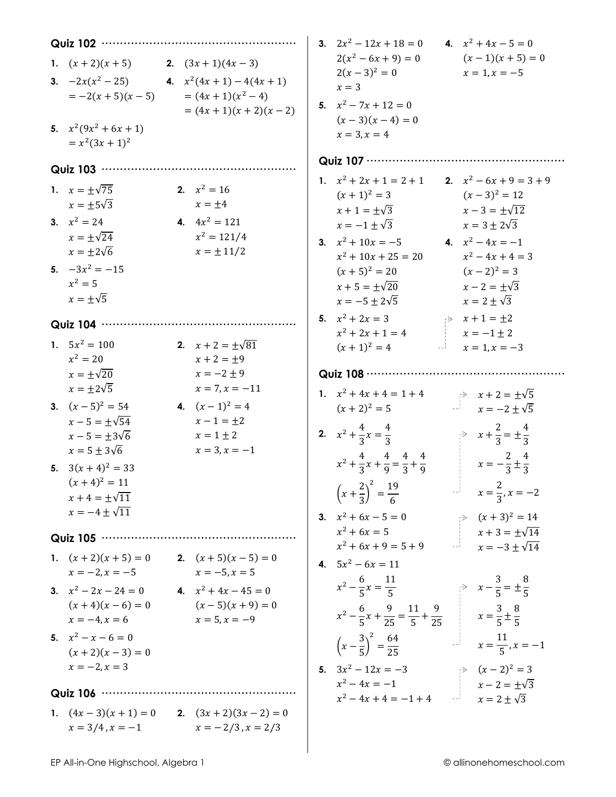| Quiz 102 ··············                                                                                                                                                                       |                                                                                     | 3. $2x^2 - 12x + 18 = 0$                                                                                                                                                                                                                | 4. $x^2 + 4x - 5 = 0$                                                                                                                |
|-----------------------------------------------------------------------------------------------------------------------------------------------------------------------------------------------|-------------------------------------------------------------------------------------|-----------------------------------------------------------------------------------------------------------------------------------------------------------------------------------------------------------------------------------------|--------------------------------------------------------------------------------------------------------------------------------------|
| 1. $(x+2)(x+5)$ 2. $(3x+1)(4x-3)$<br><b>3.</b> $-2x(x^2-25)$ <b>4.</b> $x^2(4x+1)-4(4x+1)$<br>$=-2(x+5)(x-5)$<br>5. $x^2(9x^2+6x+1)$<br>$= x^2(3x + 1)^2$                                     | $=(4x+1)(x^2-4)$<br>$=(4x+1)(x+2)(x-2)$                                             | $2(x^2-6x+9)=0$<br>$2(x-3)^2=0$<br>$x=3$<br>5. $x^2 - 7x + 12 = 0$<br>$(x-3)(x-4) = 0$<br>$x = 3, x = 4$                                                                                                                                | $(x-1)(x+5) = 0$<br>$x = 1, x = -5$                                                                                                  |
| Quiz 103 ··········                                                                                                                                                                           |                                                                                     | Quiz 107 ················                                                                                                                                                                                                               |                                                                                                                                      |
| 1. $x = \pm \sqrt{75}$<br>$x = \pm 5\sqrt{3}$<br>3. $x^2 = 24$<br>$x = \pm \sqrt{24}$<br>$x = \pm 2\sqrt{6}$<br>5. $-3x^2 = -15$                                                              | 2. $x^2 = 16$<br>$x = \pm 4$<br>4. $4x^2 = 121$<br>$x^2 = 121/4$<br>$x = \pm 11/2$  | 1. $x^2 + 2x + 1 = 2 + 1$<br>2. $x^2 - 6x + 9 = 3 + 9$<br>$(x+1)^2 = 3$<br>$x + 1 = \pm \sqrt{3}$<br>$x=-1\pm\sqrt{3}$<br><b>3.</b> $x^2 + 10x = -5$ <b>4.</b> $x^2 - 4x = -1$<br>$x^2 + 10x + 25 = 20$<br>$(x+5)^2 = 20$               | $(x-3)^2 = 12$<br>$x - 3 = \pm \sqrt{12}$<br>$x = 3 \pm 2\sqrt{3}$<br>$x^2 - 4x + 4 = 3$<br>$(x-2)^2 = 3$                            |
| $x^2 = 5$<br>$x = \pm \sqrt{5}$<br>Quiz 104                                                                                                                                                   |                                                                                     | $x + 5 = \pm \sqrt{20}$<br>$x = -5 \pm 2\sqrt{5}$<br>5. $x^2 + 2x = 3$                                                                                                                                                                  | $x-2=\pm\sqrt{3}$<br>$x = 2 \pm \sqrt{3}$<br>$\Rightarrow x + 1 = \pm 2$                                                             |
| 1. $5x^2 = 100$<br>$x^2 = 20$<br>$x = \pm \sqrt{20}$<br>$x = \pm 2\sqrt{5}$                                                                                                                   | 2. $x + 2 = \pm \sqrt{81}$<br>$x + 2 = \pm 9$<br>$x = -2 \pm 9$<br>$x = 7, x = -11$ | $x^2 + 2x + 1 = 4$<br>$(x + 1)^2 = 4$ $x = 1, x = -3$<br>Quiz 108 ···············                                                                                                                                                       | $x = -1 \pm 2$                                                                                                                       |
| 3. $(x-5)^2 = 54$<br>$x - 5 = \pm \sqrt{54}$<br>$x - 5 = \pm 3\sqrt{6}$<br>$x = 5 \pm 3\sqrt{6}$<br>5. $3(x+4)^2 = 33$<br>$(x+4)^2 = 11$<br>$x + 4 = \pm \sqrt{11}$<br>$x = -4 \pm \sqrt{11}$ | 4. $(x-1)^2 = 4$<br>$x - 1 = \pm 2$<br>$x = 1 \pm 2$<br>$x = 3, x = -1$             | 1. $x^2 + 4x + 4 = 1 + 4$<br>$(x+2)^2 = 5$<br>2. $x^2 + \frac{4}{3}x = \frac{4}{3}$<br>$x^2 + \frac{4}{3}x + \frac{4}{9} = \frac{4}{3} + \frac{4}{9}$ $x = -\frac{2}{3} \pm \frac{4}{3}$<br>$\left(x+\frac{2}{3}\right)^2=\frac{19}{6}$ | $x + 2 = \pm \sqrt{5}$<br>$x = -2 \pm \sqrt{5}$<br>$\Rightarrow x + \frac{2}{3} = \pm \frac{4}{3}$<br>2<br>$x = \frac{2}{3}, x = -2$ |
| Quiz 105 ·····························                                                                                                                                                        |                                                                                     | 3. $x^2 + 6x - 5 = 0$<br>$x^2 + 6x = 5$                                                                                                                                                                                                 | 9<br>$x + 3 = \pm \sqrt{14}$<br>$x + 3 = \pm \sqrt{14}$<br>$x = -3 \pm \sqrt{14}$                                                    |
| 1. $(x+2)(x+5) = 0$ 2. $(x+5)(x-5) = 0$<br>$x = -2, x = -5$ $x = -5, x = 5$<br>3. $x^2 - 2x - 24 = 0$<br>4. $x^2 + 4x - 45 = 0$<br>$(x+4)(x-6) = 0$<br>$x = -4, x = 6$                        | $(x-5)(x+9) = 0$<br>$x = 5, x = -9$                                                 | $x^2 + 6x + 9 = 5 + 9$<br>4. $5x^2 - 6x = 11$<br>$x^2 - \frac{6}{5}x = \frac{11}{5}$ $x - \frac{3}{5} = \pm \frac{8}{5}$<br>$x^2 - \frac{6}{5}x + \frac{9}{25} = \frac{11}{5} + \frac{9}{25}$ $x = \frac{3}{5} \pm \frac{8}{5}$         |                                                                                                                                      |
| 5. $x^2 - x - 6 = 0$<br>$(x+2)(x-3) = 0$<br>$x = -2, x = 3$                                                                                                                                   |                                                                                     | $\left(x-\frac{3}{5}\right)^2=\frac{64}{25}$ $x=\frac{11}{5}, x=-1$                                                                                                                                                                     |                                                                                                                                      |
| Quiz 106 ································                                                                                                                                                     |                                                                                     | 5. $3x^2 - 12x = -3$<br>$x^2 - 4x = -1$<br>$x^2 - 4x + 4 = -1 + 4$<br>$x = 2 \pm \sqrt{3}$                                                                                                                                              |                                                                                                                                      |
| 1. $(4x-3)(x + 1) = 0$ 2. $(3x + 2)(3x - 2) = 0$<br>$x = 3/4, x = -1$ $x = -2/3, x = 2/3$                                                                                                     |                                                                                     |                                                                                                                                                                                                                                         |                                                                                                                                      |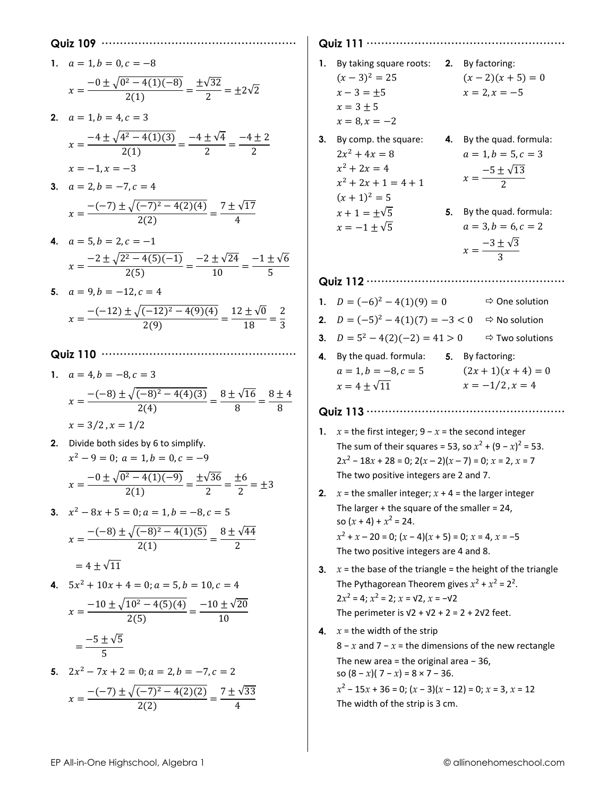|    | Quiz 109 ……                                                                                               |
|----|-----------------------------------------------------------------------------------------------------------|
| 1. | $a = 1, b = 0, c = -8$                                                                                    |
|    | $x = \frac{-0 \pm \sqrt{0^2 - 4(1)(-8)}}{2(1)} = \frac{\pm \sqrt{32}}{2} = \pm 2\sqrt{2}$                 |
|    |                                                                                                           |
| 2. | $a = 1, b = 4, c = 3$                                                                                     |
|    | $x = \frac{-4 \pm \sqrt{4^2 - 4(1)(3)}}{2(1)} = \frac{-4 \pm \sqrt{4}}{2} = \frac{-4 \pm 2}{2}$           |
|    |                                                                                                           |
|    | $x = -1, x = -3$                                                                                          |
| 3. | $a = 2, b = -7, c = 4$                                                                                    |
|    | $x = \frac{-(-7) \pm \sqrt{(-7)^2 - 4(2)(4)}}{2(2)} = \frac{7 \pm \sqrt{17}}{4}$                          |
| 4. | $a = 5, b = 2, c = -1$                                                                                    |
|    |                                                                                                           |
|    | $x = \frac{-2 \pm \sqrt{2^2 - 4(5)(-1)}}{2(5)} = \frac{-2 \pm \sqrt{24}}{10} = \frac{-1 \pm \sqrt{6}}{5}$ |
| 5. | $a = 9, b = -12, c = 4$                                                                                   |
|    | $x = \frac{-(-12) \pm \sqrt{(-12)^2 - 4(9)(4)}}{2(9)} = \frac{12 \pm \sqrt{0}}{10} = \frac{2}{2}$         |
|    |                                                                                                           |
|    |                                                                                                           |
| 1. | $a = 4, b = -8, c = 3$                                                                                    |
|    |                                                                                                           |
|    | $x = \frac{-(-8) \pm \sqrt{(-8)^2 - 4(4)(3)}}{2(4)} = \frac{8 \pm \sqrt{16}}{8} = \frac{8 \pm 4}{8}$      |
|    | $x = 3/2, x = 1/2$                                                                                        |
| 2. | Divide both sides by 6 to simplify.                                                                       |
|    | $x^2-9=0$ ; $a=1, b=0, c=-9$                                                                              |
|    | $x = \frac{-0 \pm \sqrt{0^2 - 4(1)(-9)}}{2(1)} = \frac{\pm \sqrt{36}}{2} = \frac{\pm 6}{2} = \pm 3$       |
|    |                                                                                                           |
| 3. | $x^2-8x+5=0$ ; $a=1, b=-8, c=5$                                                                           |
|    | $x = \frac{-(-8) \pm \sqrt{(-8)^2 - 4(1)(5)}}{2(1)} = \frac{8 \pm \sqrt{44}}{2}$                          |
|    | $= 4 + \sqrt{11}$                                                                                         |
| 4. | $5x^2 + 10x + 4 = 0$ ; $a = 5$ , $b = 10$ , $c = 4$                                                       |
|    |                                                                                                           |
|    | $x = \frac{-10 \pm \sqrt{10^2 - 4(5)(4)}}{2(5)} = \frac{-10 \pm \sqrt{20}}{10}$                           |
|    | $=\frac{-5\pm\sqrt{5}}{5}$                                                                                |
|    |                                                                                                           |
|    | 5. $2x^2 - 7x + 2 = 0$ ; $a = 2$ , $b = -7$ , $c = 2$                                                     |
|    | $x = \frac{-(-7) \pm \sqrt{(-7)^2 - 4(2)(2)}}{2(2)} = \frac{7 \pm \sqrt{33}}{4}$                          |
|    |                                                                                                           |

**Quiz 111 ······················································ 1.** By taking square roots: **2.** By factoring:  $(x-3)^2 = 25$   $(x-2)(x+5) = 0$  $x - 3 = \pm 5$   $x = 2, x = -5$  $x=3\pm 5$  $x = 8, x = -2$ **3.** By comp. the square: **4.** By the quad. formula:  $2x^2 + 4x = 8$   $a = 1, b = 5, c = 3$  $x^2 + 2x = 4$  $x = \frac{-5 \pm \sqrt{13}}{2}$  $x^2 + 2x + 1 = 4 + 1$  $(x + 1)^2 = 5$  $x + 1 = \pm \sqrt{5}$  5. By the quad. formula:  $x = -1 \pm \sqrt{5}$   $a = 3, b = 6, c = 2$  $x = \frac{-3 \pm \sqrt{3}}{2}$ 3 **Quiz 112 ······················································ 1.**  $D = (-6)^2 - 4(1)(9) = 0$   $\Rightarrow$  One solution **2.**  $D = (-5)^2 - 4(1)(7) = -3 < 0$   $\Rightarrow$  No solution **3.**  $D = 5^2 - 4(2)(-2) = 41 > 0$   $\Rightarrow$  Two solutions **4.** By the quad. formula: **5.** By factoring:  $a = 1, b = -8, c = 5$   $(2x + 1)(x + 4) = 0$  $x = 4 \pm \sqrt{11}$   $x = -1/2, x = 4$ **Quiz 113 ······················································ 1.**  $x =$  the first integer;  $9 - x =$  the second integer The sum of their squares = 53, so  $x^2 + (9 - x)^2 = 53$ .  $2x^2 - 18x + 28 = 0$ ;  $2(x - 2)(x - 7) = 0$ ;  $x = 2$ ,  $x = 7$ The two positive integers are 2 and 7. **2.**  $x =$  the smaller integer;  $x + 4 =$  the larger integer The larger + the square of the smaller = 24, so  $(x + 4) + x^2 = 24$ . *x*2 + *x* – 20 = 0; (*x* − 4)(*x* + 5) = 0; *x* = 4, *x* = −5 The two positive integers are 4 and 8. **3.**  $x =$  the base of the triangle = the height of the triangle The Pythagorean Theorem gives  $x^2 + x^2 = 2^2$ .  $2x^2 = 4$ ;  $x^2 = 2$ ;  $x = \sqrt{2}$ ,  $x = -\sqrt{2}$ The perimeter is  $v2 + v2 + 2 = 2 + 2v2$  feet. **4.**  $x =$  the width of the strip 8 − *x* and 7 − *x* = the dimensions of the new rectangle The new area = the original area − 36, so  $(8 - x)(7 - x) = 8 \times 7 - 36$ . *x*2 − 15*x* + 36 = 0; (*x* − 3)(*x* − 12) = 0; *x* = 3, *x* = 12 The width of the strip is 3 cm.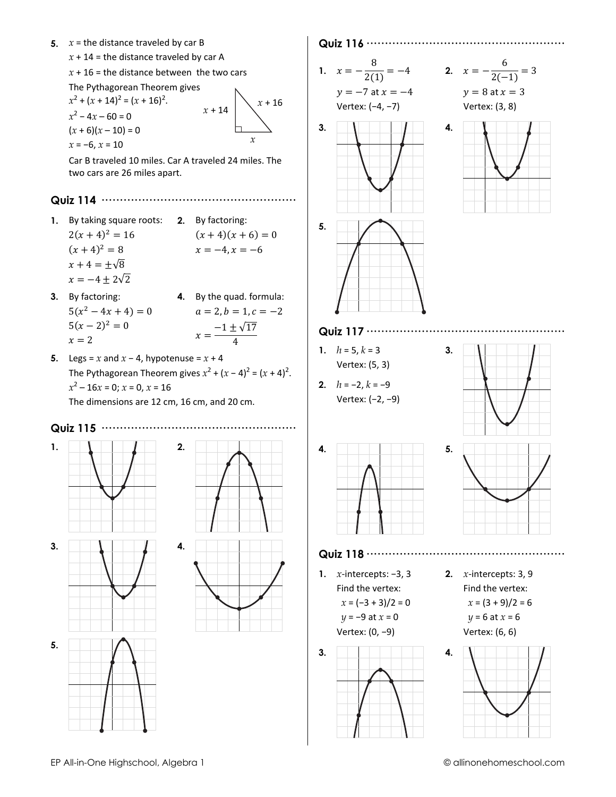- 5.  $x =$  the distance traveled by car B
	- $x + 14 =$  the distance traveled by car A

 $x + 16$  = the distance between the two cars

The Pythagorean Theorem gives  $x^2 + (x + 14)^2 = (x + 16)^2$ .  $x + 16$  $x + 14$  $x^2 - 4x - 60 = 0$  $(x+6)(x-10) = 0$  $\chi$  $x = -6, x = 10$ 

Car B traveled 10 miles. Car A traveled 24 miles. The two cars are 26 miles apart.

- 1. By taking square roots: 2. By factoring:  $2(x+4)^2 = 16$  $(x+4)(x+6) = 0$  $(x+4)^2 = 8$  $x = -4, x = -6$  $x+4=\pm\sqrt{8}$  $x = -4 \pm 2\sqrt{2}$
- 3. By factoring: 4. By the quad. formula:  $5(x^2-4x+4)=0$  $5(x-2)^2=0$  $x = 2$
- 5. Legs = x and  $x 4$ , hypotenuse =  $x + 4$ The Pythagorean Theorem gives  $x^2 + (x - 4)^2 = (x + 4)^2$ .  $x^2 - 16x = 0$ ;  $x = 0$ ,  $x = 16$ The dimensions are 12 cm, 16 cm, and 20 cm.

2.

4.

#### . . . . . . . . . . . . . . . . . . .





 $a = 2, b = 1, c = -2$ 

 $x = \frac{-1 \pm \sqrt{17}}{4}$ 







1.  $x = -\frac{8}{2(1)} = -4$  $y = -7$  at  $x = -4$ 

 $3<sub>1</sub>$ 

5.

4.

$$
x = -\frac{6}{2(-1)} = 3
$$
  
y = 8 at x = 3

Vertex: (3, 8)

 $2.$ 

Vertex: (-4, -7)





- 1.  $h = 5, k = 3$ Vertex: (5, 3)
- 2.  $h = -2, k = -9$ Vertex: (-2, -9)





1.  $x$ -intercepts: -3, 3 Find the vertex:  $x = (-3 + 3)/2 = 0$  $y = -9$  at  $x = 0$ 

Vertex: (0, -9)



2.  $x$ -intercepts: 3, 9 Find the vertex:  $x = (3 + 9)/2 = 6$  $y = 6$  at  $x = 6$ Vertex: (6, 6)

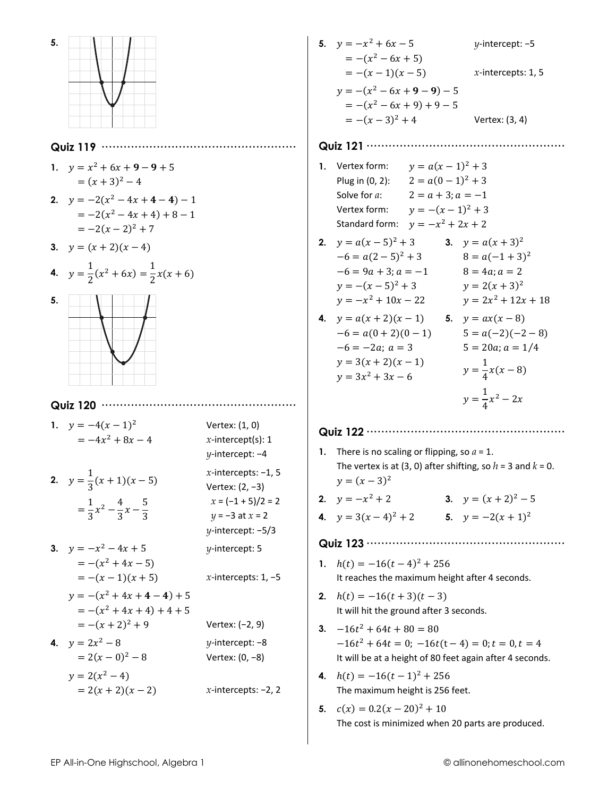

#### Quiz 119 ......................

- 1.  $y = x^2 + 6x + 9 9 + 5$  $=(x+3)^2-4$
- 2.  $y = -2(x^2 4x + 4 4) 1$  $=-2(x^{2}-4x+4)+8-1$  $=-2(x-2)^{2}+7$
- 3.  $y = (x + 2)(x 4)$

4. 
$$
y = \frac{1}{2}(x^2 + 6x) = \frac{1}{2}x(x+6)
$$



#### 

1.  $y = -4(x - 1)^2$ Vertex: (1, 0)  $=-4x^2+8x-4$  $x$ -intercept(s): 1  $\nu$ -intercept: -4 x-intercepts:  $-1$ , 5 2.  $y = \frac{1}{2}(x+1)(x-5)$ Vertex:  $(2, -3)$  $x = (-1 + 5)/2 = 2$  $=\frac{1}{3}x^2-\frac{4}{3}x-\frac{5}{3}$  $y = -3$  at  $x = 2$  $y$ -intercept:  $-5/3$ 3.  $y = -x^2 - 4x + 5$  $\nu$ -intercept: 5  $=-(x^2+4x-5)$  $= -(x-1)(x + 5)$ x-intercepts:  $1, -5$  $y = -(x^2 + 4x + 4 - 4) + 5$  $= -(x^2 + 4x + 4) + 4 + 5$  $= -(x + 2)^2 + 9$ Vertex: (-2, 9) 4.  $y = 2x^2 - 8$  $\nu$ -intercept: -8  $= 2(x - 0)^2 - 8$ Vertex: (0, -8)  $y = 2(x^2 - 4)$  $= 2(x + 2)(x - 2)$ x-intercepts:  $-2$ , 2 5.  $y = -x^2 + 6x - 5$  $\nu$ -intercept: -5  $= -(x^2 - 6x + 5)$  $= -(x-1)(x-5)$  $x$ -intercepts: 1, 5  $y = -(x^2 - 6x + 9 - 9) - 5$  $= -(x<sup>2</sup> - 6x + 9) + 9 - 5$  $= -(x-3)^2 + 4$ Vertex: (3, 4)

#### 

- 1. Vertex form:  $y = a(x 1)^2 + 3$  $2 = a(0-1)^2 + 3$ Plug in (0, 2): Solve for *a*:  $2 = a + 3$ ;  $a = -1$  $y = -(x-1)^2 + 3$ Vertex form: Standard form:  $y = -x^2 + 2x + 2$
- **2.**  $y = a(x-5)^2 + 3$  **3.**  $y = a(x+3)^2$  $-6 = a(2-5)^2 + 3$  $8 = a(-1+3)^2$  $-6 = 9a + 3; a = -1$  $8 = 4a$ ;  $a = 2$  $y = -(x - 5)^2 + 3$  $y = 2(x + 3)^2$  $v = -x^2 + 10x - 22$  $y = 2x^2 + 12x + 18$
- 4.  $y = a(x + 2)(x 1)$  5.  $y = ax(x 8)$  $-6 = a(0 + 2)(0 - 1)$  $-6 = -2a$ ;  $a = 3$  $y = 3(x + 2)(x - 1)$  $y = 3x^2 + 3x - 6$

 $5 = a(-2)(-2-8)$  $5 = 20a$ ;  $a = 1/4$  $y = \frac{1}{4}x(x-8)$  $y = \frac{1}{4}x^2 - 2x$ 

- 1. There is no scaling or flipping, so  $a = 1$ . The vertex is at (3, 0) after shifting, so  $h = 3$  and  $k = 0$ .  $y = (x - 3)^2$ 2.  $y = -x^2 + 2$ 3.  $y = (x + 2)^2 - 5$
- 4.  $y = 3(x-4)^2 + 2$ <br>5.  $y = -2(x+1)^2$

- 1.  $h(t) = -16(t-4)^2 + 256$ It reaches the maximum height after 4 seconds.
- 2.  $h(t) = -16(t+3)(t-3)$ It will hit the ground after 3 seconds.
- 3.  $-16t^2 + 64t + 80 = 80$  $-16t^2 + 64t = 0$ ;  $-16t(t-4) = 0$ ;  $t = 0, t = 4$ It will be at a height of 80 feet again after 4 seconds.
- 4.  $h(t) = -16(t-1)^2 + 256$ The maximum height is 256 feet.
- 5.  $c(x) = 0.2(x 20)^2 + 10$ The cost is minimized when 20 parts are produced.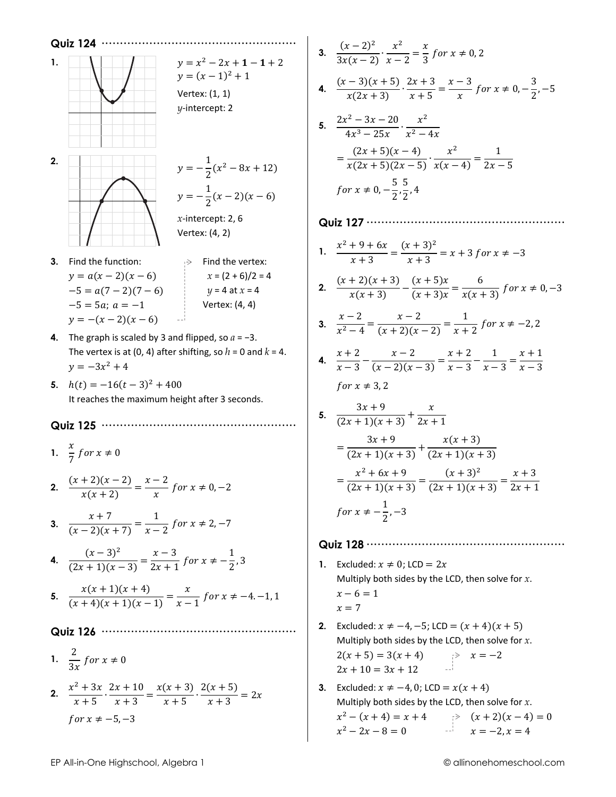

3. 
$$
\frac{(x-2)^2}{3x(x-2)} \cdot \frac{x^2}{x-2} = \frac{x}{3} \text{ for } x \neq 0, 2
$$
  
\n4. 
$$
\frac{(x-3)(x+5)}{x(2x+3)} \cdot \frac{2x+3}{x+5} = \frac{x-3}{x} \text{ for } x \neq 0, -\frac{3}{2}, -5
$$
  
\n5. 
$$
\frac{2x^2-3x-20}{4x^3-25x} \cdot \frac{x^2}{x^2-4x}
$$
  
\n
$$
= \frac{(2x+5)(x-4)}{x(2x+5)(2x-5)} \cdot \frac{x^2}{x(x-4)} = \frac{1}{2x-5}
$$
  
\nfor  $x \neq 0, -\frac{5}{2}, \frac{5}{2}, 4$   
\n**Quiz 127**  $\dots$   
\n1. 
$$
\frac{x^2+9+6x}{x+3} = \frac{(x+3)^2}{x+3} = x+3 \text{ for } x \neq -3
$$
  
\n2. 
$$
\frac{(x+2)(x+3)}{x(x+3)} - \frac{(x+5)x}{(x+3)x} = \frac{6}{x(x+3)} \text{ for } x \neq 0, -3
$$
  
\n3. 
$$
\frac{x-2}{x^2-4} = \frac{x-2}{(x+2)(x-2)} = \frac{1}{x+2} \text{ for } x \neq -2, 2
$$
  
\n4. 
$$
\frac{x+2}{x-3} - \frac{x-2}{(x-2)(x-3)} = \frac{x+2}{x-3} - \frac{1}{x-3} = \frac{x+1}{x-3}
$$
  
\nfor  $x \neq 3, 2$   
\n5. 
$$
\frac{3x+9}{(2x+1)(x+3)} + \frac{x}{2x+1}
$$
  
\n
$$
= \frac{3x+9}{(2x+1)(x+3)} + \frac{x(x+3)}{(2x+1)(x+3)}
$$
  
\n
$$
= \frac{x^2+6x+9}{(2x+1)(x+3)} = \frac{(x+3)^2}{(2x+1)(x+3)} = \frac{x+3}{2x+1}
$$
  
\nfor  $x \neq -\frac{1}{2}, -3$   
\n**Quiz 1**

3. Excluded:  $x \neq -4$ , 0; LCD =  $x(x + 4)$ Multiply both sides by the LCD, then solve for  $x$ .  $x^2 - (x + 4) = x + 4$ <br>  $x^2 - 2x - 8 = 0$ <br>  $x = -2, x = 4$ <br>  $x = -2, x = 4$ 

 $2x + 10 = 3x + 12$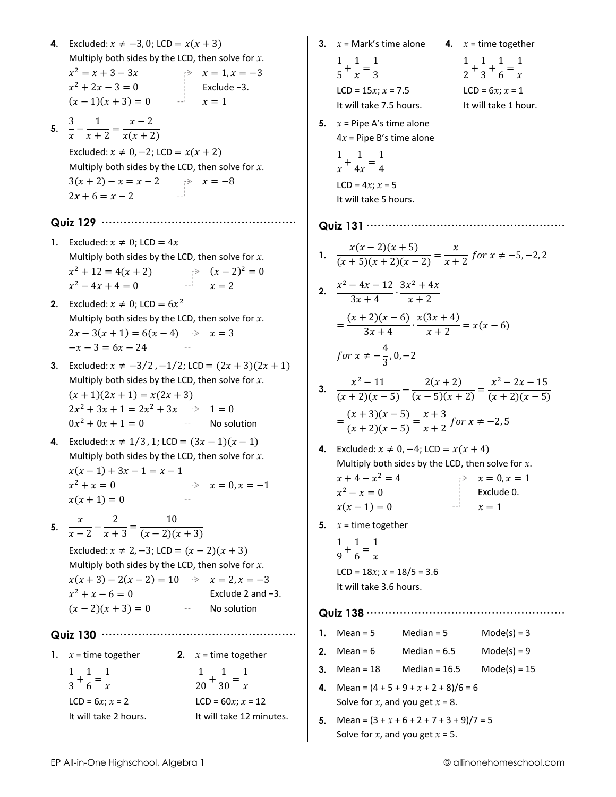4. Excluded:  $x \neq -3, 0$ ; LCD =  $x(x + 3)$ Multiply both sides by the LCD, then solve for  $x$ .  $x^2 = x + 3 - 3x$ <br>  $x^2 + 2x - 3 = 0$ <br>  $x = 1, x = -3$ <br>  $x = 1, x = -3$ <br>
Exclude -3.  $(x-1)(x+3) = 0$   $x = 1$ 5.  $rac{3}{x} - \frac{1}{x+2} = \frac{x-2}{x(x+2)}$ Excluded:  $x \neq 0, -2$ ; LCD =  $x(x + 2)$ Multiply both sides by the LCD, then solve for  $x$ .  $3(x + 2) - x = x - 2$   $\Rightarrow x = -8$ <br>  $2x + 6 - x - 2$  $2x + 6 = x - 2$ 1. Excluded:  $x \neq 0$ ; LCD = 4x Multiply both sides by the LCD, then solve for  $x$ .  $x^2 + 12 = 4(x + 2)$ <br>  $x^2 - 4x + 4 = 0$ <br>  $x = 2$ <br>  $x = 2$ **2.** Excluded:  $x \neq 0$ ; LCD =  $6x^2$ Multiply both sides by the LCD, then solve for  $x$ .  $2x-3(x + 1) = 6(x-4)$  >  $x = 3$ <br>-x-3 = 6x - 24 3. Excluded:  $x \neq -3/2$ ,  $-1/2$ ; LCD =  $(2x + 3)(2x + 1)$ Multiply both sides by the LCD, then solve for  $x$ .  $(x + 1)(2x + 1) = x(2x + 3)$  $2x^2 + 3x + 1 = 2x^2 + 3x$ <br>  $0x^2 + 0x + 1 = 0$ <br>
No solution 4. Excluded:  $x \ne 1/3$ , 1; LCD =  $(3x - 1)(x - 1)$ Multiply both sides by the LCD, then solve for  $x$ .  $x(x-1) + 3x - 1 = x - 1$  $\Rightarrow x = 0, x = -1$  $x^2 + x = 0$  $x(x + 1) = 0$ 5.  $\frac{x}{x-2} - \frac{2}{x+3} = \frac{10}{(x-2)(x+3)}$ Excluded:  $x \ne 2, -3$ ; LCD =  $(x - 2)(x + 3)$ Multiply both sides by the LCD, then solve for  $x$ .  $x(x+3)-2(x-2)=10$   $\Rightarrow$   $x=2, x=-3$  $x^2 + x - 6 = 0$ Exclude 2 and  $-3$ .  $(x-2)(x+3) = 0$  No solution 1.  $x =$  time together 2.  $x =$  time together  $\frac{1}{3} + \frac{1}{6} = \frac{1}{x}$  $rac{1}{20} + \frac{1}{30} = \frac{1}{x}$  $LCD = 6x: x = 2$ LCD =  $60x$ ;  $x = 12$ It will take 2 hours. It will take 12 minutes.

|    | $\frac{1}{5} + \frac{1}{r} = \frac{1}{3}$<br>LCD = $15x; x = 7.5$<br>It will take 7.5 hours.                                                                |                                        | $\frac{1}{2} + \frac{1}{3} + \frac{1}{6} = \frac{1}{x}$<br>LCD = $6x; x = 1$<br>It will take 1 hour. |
|----|-------------------------------------------------------------------------------------------------------------------------------------------------------------|----------------------------------------|------------------------------------------------------------------------------------------------------|
| 5. | $x =$ Pipe A's time alone<br>$4x$ = Pipe B's time alone<br>$\frac{1}{r} + \frac{1}{4r} = \frac{1}{4}$<br>LCD = $4x; x = 5$<br>It will take 5 hours.         |                                        |                                                                                                      |
|    | Quiz 131                                                                                                                                                    |                                        |                                                                                                      |
|    | 1. $\frac{x(x-2)(x+5)}{(x+5)(x+2)(x-2)} = \frac{x}{x+2}$ for $x \neq -5, -2, 2$                                                                             |                                        |                                                                                                      |
|    | 2. $\frac{x^2-4x-12}{3x+4} \cdot \frac{3x^2+4x}{x+2}$                                                                                                       |                                        |                                                                                                      |
|    | $=\frac{(x+2)(x-6)}{3x+4}\cdot\frac{x(3x+4)}{x+2}=x(x-6)$                                                                                                   |                                        |                                                                                                      |
|    | for $x \neq -\frac{4}{3}$ , 0, -2                                                                                                                           |                                        |                                                                                                      |
|    | 3. $\frac{x^2-11}{(x+2)(x-5)}-\frac{2(x+2)}{(x-5)(x+2)}=\frac{x^2-2x-15}{(x+2)(x-5)}$                                                                       |                                        |                                                                                                      |
|    | $=\frac{(x+3)(x-5)}{(x+2)(x-5)}=\frac{x+3}{x+2}$ for $x \neq -2,5$                                                                                          |                                        |                                                                                                      |
|    | 4. Excluded: $x \ne 0, -4$ ; LCD = $x(x + 4)$<br>Multiply both sides by the LCD, then solve for $x$ .<br>$x + 4 - x^2 = 4$<br>$x^2 - x = 0$<br>$x(x-1) = 0$ | $\equiv$ $\equiv$ $\stackrel{>}{\sim}$ | $x = 0, x = 1$<br>Exclude 0.<br>$x=1$                                                                |
| 5. | $x =$ time together                                                                                                                                         |                                        |                                                                                                      |
|    | $\frac{1}{9} + \frac{1}{6} = \frac{1}{x}$                                                                                                                   |                                        |                                                                                                      |
|    | LCD = $18x$ ; $x = 18/5 = 3.6$<br>It will take 3.6 hours.                                                                                                   |                                        |                                                                                                      |
|    |                                                                                                                                                             |                                        |                                                                                                      |
| 1. | Median = $5$<br>$Mean = 5$                                                                                                                                  |                                        | $Mode(s) = 3$                                                                                        |
| 2. | Mean = $6$ Median = $6.5$                                                                                                                                   |                                        | $Mode(s) = 9$                                                                                        |
| 3. | $Mean = 18$ $Median = 16.5$                                                                                                                                 |                                        | $Mode(s) = 15$                                                                                       |
| 4. | Mean = $(4 + 5 + 9 + x + 2 + 8)/6 = 6$<br>Solve for $x$ , and you get $x = 8$ .                                                                             |                                        |                                                                                                      |
| 5. | Mean = $(3 + x + 6 + 2 + 7 + 3 + 9)/7 = 5$<br>Solve for x, and you get $x = 5$ .                                                                            |                                        |                                                                                                      |
|    |                                                                                                                                                             |                                        | © allinonehomeschool.com                                                                             |

3.  $x =$  Mark's time alone 4.  $x =$  time together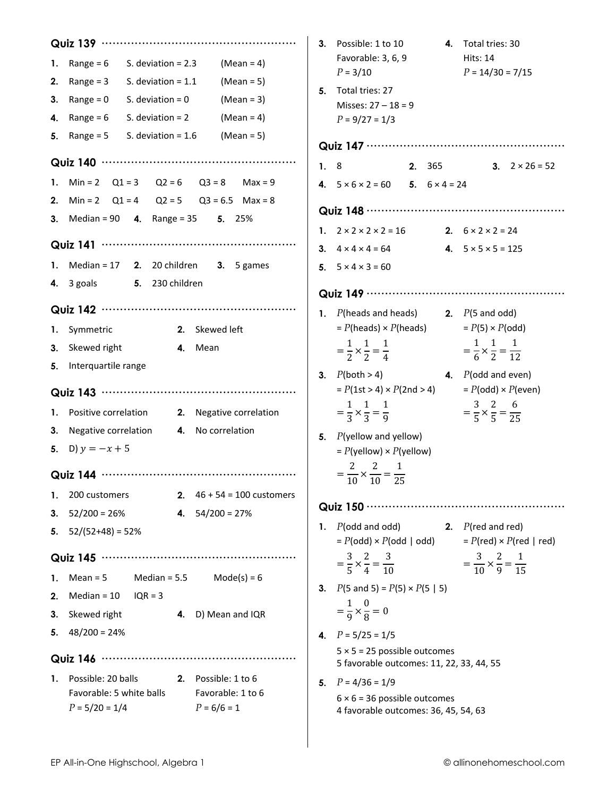| 1.<br>2.<br>3.<br>4.<br>5. | S. deviation $= 2.3$<br>Range = $6$<br>$(Mean = 4)$<br>Range = $3$ S. deviation = $1.1$<br>$(Mean = 5)$<br>$Range = 0$<br>S. deviation = 0<br>$(Mean = 3)$<br>Range = $6$<br>S. deviation $= 2$<br>$(Mean = 4)$<br>Range = $5$<br>S. deviation = $1.6$ (Mean = $5$ ) |  | 3. Possible: 1 to 10<br>Favorable: 3, 6, 9<br>$P = 3/10$<br>5. Total tries: 27<br>Misses: $27 - 18 = 9$<br>$P = 9/27 = 1/3$<br>1.8 | 4. Total tries: 30<br><b>Hits: 14</b><br>$P = 14/30 = 7/15$<br><b>2.</b> 365 <b>3.</b> $2 \times 26 = 52$ |
|----------------------------|----------------------------------------------------------------------------------------------------------------------------------------------------------------------------------------------------------------------------------------------------------------------|--|------------------------------------------------------------------------------------------------------------------------------------|-----------------------------------------------------------------------------------------------------------|
|                            | 1. Min = 2 $Q1 = 3$ $Q2 = 6$ $Q3 = 8$ Max = 9                                                                                                                                                                                                                        |  | 4. $5 \times 6 \times 2 = 60$ 5. $6 \times 4 = 24$                                                                                 |                                                                                                           |
|                            | 2. Min = 2 $Q1 = 4$ $Q2 = 5$ $Q3 = 6.5$ Max = 8                                                                                                                                                                                                                      |  |                                                                                                                                    |                                                                                                           |
|                            | <b>3.</b> Median = 90 <b>4.</b> Range = 35 <b>5.</b> 25%                                                                                                                                                                                                             |  |                                                                                                                                    |                                                                                                           |
|                            |                                                                                                                                                                                                                                                                      |  | 1. $2 \times 2 \times 2 \times 2 = 16$<br>2. $6 \times 2 \times 2 = 24$<br>3. $4 \times 4 \times 4 = 64$                           | 4. $5 \times 5 \times 5 = 125$                                                                            |
|                            | 1. Median = 17 2. 20 children 3. 5 games                                                                                                                                                                                                                             |  | 5. $5 \times 4 \times 3 = 60$                                                                                                      |                                                                                                           |
|                            | 4. 3 goals 5. 230 children                                                                                                                                                                                                                                           |  |                                                                                                                                    |                                                                                                           |
|                            |                                                                                                                                                                                                                                                                      |  |                                                                                                                                    |                                                                                                           |
|                            |                                                                                                                                                                                                                                                                      |  | 1. $P(\text{heads and heads})$ 2. $P(\text{5 and odd})$                                                                            |                                                                                                           |
| 1.                         | 2. Skewed left<br>Symmetric                                                                                                                                                                                                                                          |  | $= P(\text{heads}) \times P(\text{heads})$ $= P(5) \times P(\text{odd})$                                                           |                                                                                                           |
| 3.                         | Skewed right<br>4. Mean                                                                                                                                                                                                                                              |  | $=\frac{1}{2} \times \frac{1}{2} = \frac{1}{4}$                                                                                    | $=\frac{1}{6}\times\frac{1}{2}=\frac{1}{12}$                                                              |
| 5.                         | Interquartile range                                                                                                                                                                                                                                                  |  | <b>3.</b> $P(\text{both} > 4)$                                                                                                     | <b>4.</b> $P($ odd and even $)$                                                                           |
|                            |                                                                                                                                                                                                                                                                      |  | $= P(1st > 4) \times P(2nd > 4)$                                                                                                   | $= P(odd) \times P(even)$                                                                                 |
| 1.                         | Positive correlation 2. Negative correlation                                                                                                                                                                                                                         |  | $=\frac{1}{3}\times\frac{1}{3}=\frac{1}{9}$                                                                                        | $=\frac{3}{5}\times\frac{2}{5}=\frac{6}{25}$                                                              |
| 3.                         | Negative correlation 4. No correlation                                                                                                                                                                                                                               |  | 5. $P$ (yellow and yellow)                                                                                                         |                                                                                                           |
|                            | 5. D) $y = -x + 5$                                                                                                                                                                                                                                                   |  | $= P$ (yellow) $\times P$ (yellow)                                                                                                 |                                                                                                           |
|                            |                                                                                                                                                                                                                                                                      |  | $=\frac{2}{10}\times\frac{2}{10}=\frac{1}{25}$                                                                                     |                                                                                                           |
| 1.                         | 2. $46 + 54 = 100$ customers<br>200 customers                                                                                                                                                                                                                        |  |                                                                                                                                    |                                                                                                           |
| 3.                         | $52/200 = 26%$<br>4. $54/200 = 27%$                                                                                                                                                                                                                                  |  |                                                                                                                                    |                                                                                                           |
|                            | 5. $52/(52+48) = 52\%$                                                                                                                                                                                                                                               |  | 1. $P($ odd and odd $)$                                                                                                            | 2. $P$ (red and red)                                                                                      |
|                            |                                                                                                                                                                                                                                                                      |  | $= P(odd) \times P(odd \mid odd)$                                                                                                  | $= P$ (red) × $P$ (red   red)                                                                             |
|                            |                                                                                                                                                                                                                                                                      |  | $=\frac{3}{5} \times \frac{2}{4} = \frac{3}{10}$                                                                                   | $=\frac{3}{10} \times \frac{2}{9} = \frac{1}{15}$                                                         |
| 1.                         | Median = $5.5$ Mode(s) = $6$<br>$Mean = 5$                                                                                                                                                                                                                           |  | 3. $P(5 \text{ and } 5) = P(5) \times P(5   5)$                                                                                    |                                                                                                           |
| 2.                         | Median = $10$<br>$IQR = 3$                                                                                                                                                                                                                                           |  | $=\frac{1}{9} \times \frac{0}{8} = 0$                                                                                              |                                                                                                           |
| 3.<br>5.                   | Skewed right<br>4. D) Mean and IQR<br>$48/200 = 24%$                                                                                                                                                                                                                 |  |                                                                                                                                    |                                                                                                           |
|                            |                                                                                                                                                                                                                                                                      |  | 4. $P = 5/25 = 1/5$<br>$5 \times 5 = 25$ possible outcomes                                                                         |                                                                                                           |
|                            |                                                                                                                                                                                                                                                                      |  | 5 favorable outcomes: 11, 22, 33, 44, 55                                                                                           |                                                                                                           |
| 1.                         | Possible: 20 balls<br>2. Possible: 1 to 6                                                                                                                                                                                                                            |  | 5. $P = 4/36 = 1/9$                                                                                                                |                                                                                                           |
|                            | Favorable: 5 white balls<br>Favorable: 1 to 6<br>$P = 5/20 = 1/4$<br>$P = 6/6 = 1$                                                                                                                                                                                   |  | $6 \times 6 = 36$ possible outcomes                                                                                                |                                                                                                           |
|                            |                                                                                                                                                                                                                                                                      |  | 4 favorable outcomes: 36, 45, 54, 63                                                                                               |                                                                                                           |

 $\overline{\phantom{a}}$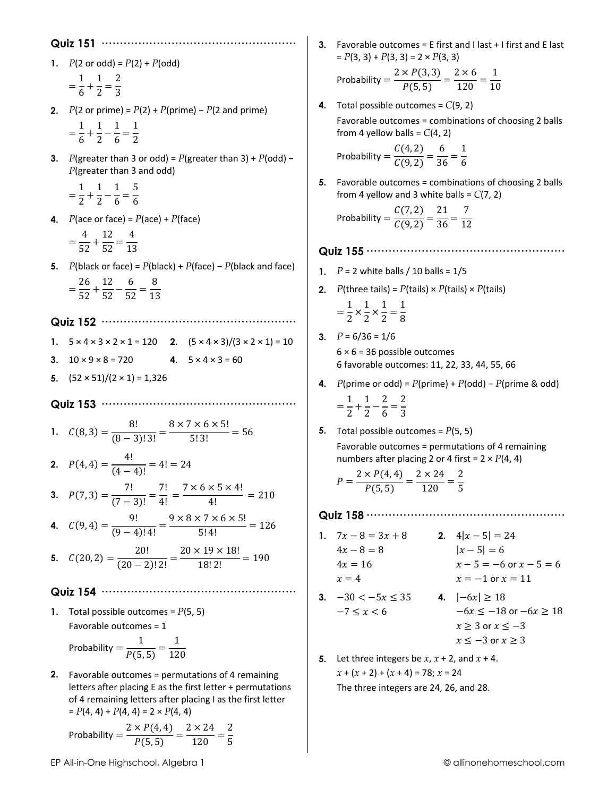1.  $P(2 \text{ or odd}) = P(2) + P(\text{odd})$ 

$$
=\frac{1}{6} + \frac{1}{2} = \frac{2}{3}
$$

- 2.  $P(2 \text{ or prime}) = P(2) + P(\text{prime}) P(2 \text{ and prime})$  $=\frac{1}{6}+\frac{1}{2}-\frac{1}{6}=\frac{1}{2}$
- 3. P(greater than 3 or odd) = P(greater than 3) + P(odd) - $P(\text{greater than 3 and odd})$

$$
=\frac{1}{2}+\frac{1}{2}-\frac{1}{6}=\frac{5}{6}
$$

- 4.  $P$ (ace or face) =  $P$ (ace) +  $P$ (face)
	- $=\frac{4}{52}+\frac{12}{52}=\frac{4}{13}$
- 5. P(black or face) =  $P$ (black) +  $P$ (face)  $P$ (black and face)  $=\frac{26}{52}+\frac{12}{52}-\frac{6}{52}=\frac{8}{13}$

1.  $5 \times 4 \times 3 \times 2 \times 1 = 120$  2.  $(5 \times 4 \times 3)/(3 \times 2 \times 1) = 10$ 3.  $10 \times 9 \times 8 = 720$ 4.  $5 \times 4 \times 3 = 60$ 

5.  $(52 \times 51)/(2 \times 1) = 1,326$ 

1. 
$$
C(8,3) = \frac{8!}{(8-3)!3!} = \frac{8 \times 7 \times 6 \times 5!}{5!3!} = 56
$$

2. 
$$
P(4, 4) = \frac{4!}{(4-4)!} = 4! = 24
$$
  
3.  $P(7, 3) = \frac{7!}{(7-3)!} = \frac{7!}{4!} = \frac{7 \times 6 \times 5 \times 4!}{4!} = 210$ 

**4.** 
$$
C(9, 4) = \frac{9!}{(9-4)!4!} = \frac{3 \times 6 \times 7 \times 6 \times 3!}{5!4!} = 126
$$

**5.**  $C(20, 2) = \frac{20!}{(20-2)! \cdot 2!} = \frac{20 \times 19 \times 18!}{18! \cdot 2!} = 190$ 

- 1. Total possible outcomes =  $P(5, 5)$ Favorable outcomes = 1 Probability =  $\frac{1}{P(5,5)} = \frac{1}{120}$
- 2. Favorable outcomes = permutations of 4 remaining letters after placing E as the first letter + permutations of 4 remaining letters after placing I as the first letter  $= P(4, 4) + P(4, 4) = 2 \times P(4, 4)$

Probability 
$$
=
$$
  $\frac{2 \times P(4, 4)}{P(5, 5)} = \frac{2 \times 24}{120} = \frac{2}{5}$ 

3. Favorable outcomes =  $E$  first and I last + I first and E last  $= P(3, 3) + P(3, 3) = 2 \times P(3, 3)$ 

Probability 
$$
=
$$
  $\frac{2 \times P(3,3)}{P(5,5)} = \frac{2 \times 6}{120} = \frac{1}{10}$ 

4. Total possible outcomes =  $C(9, 2)$ Favorable outcomes = combinations of choosing 2 balls from 4 yellow balls =  $C(4, 2)$ 

Probability 
$$
=
$$
  $\frac{C(4,2)}{C(9,2)} = \frac{6}{36} = \frac{1}{6}$ 

5. Favorable outcomes = combinations of choosing 2 balls from 4 yellow and 3 white balls =  $C(7, 2)$ 

Probability 
$$
=
$$
  $\frac{C(7,2)}{C(9,2)} = \frac{21}{36} = \frac{7}{12}$ 

- 1.  $P = 2$  white balls / 10 balls = 1/5
- **2.** P(three tails) =  $P$ (tails) ×  $P$ (tails) ×  $P$ (tails)  $=\frac{1}{2}\times\frac{1}{2}\times\frac{1}{2}=\frac{1}{8}$
- 3.  $P = 6/36 = 1/6$

 $6 \times 6 = 36$  possible outcomes 6 favorable outcomes: 11, 22, 33, 44, 55, 66

- 4. P(prime or odd) =  $P(\text{prime}) + P(\text{odd}) P(\text{prime} \& \text{odd})$  $=\frac{1}{2}+\frac{1}{2}-\frac{2}{6}=\frac{2}{3}$
- 5. Total possible outcomes =  $P(5, 5)$

Favorable outcomes = permutations of 4 remaining numbers after placing 2 or 4 first =  $2 \times P(4, 4)$ 

$$
P = \frac{2 \times P(4, 4)}{P(5, 5)} = \frac{2 \times 24}{120} = \frac{2}{5}
$$

- 2.  $4|x-5| = 24$ 1.  $7x - 8 = 3x + 8$  $4x - 8 = 8$  $|x-5|=6$  $4x = 16$  $x - 5 = -6$  or  $x - 5 = 6$  $x = -1$  or  $x = 11$  $x=4$ 3.  $-30 < -5x \le 35$ 4.  $|-6x| \ge 18$  $-7 \leq x < 6$  $-6x \le -18$  or  $-6x \ge 18$  $x \ge 3$  or  $x \le -3$  $x \le -3$  or  $x \ge 3$
- **5.** Let three integers be  $x$ ,  $x + 2$ , and  $x + 4$ .  $x + (x + 2) + (x + 4) = 78$ ;  $x = 24$ The three integers are 24, 26, and 28.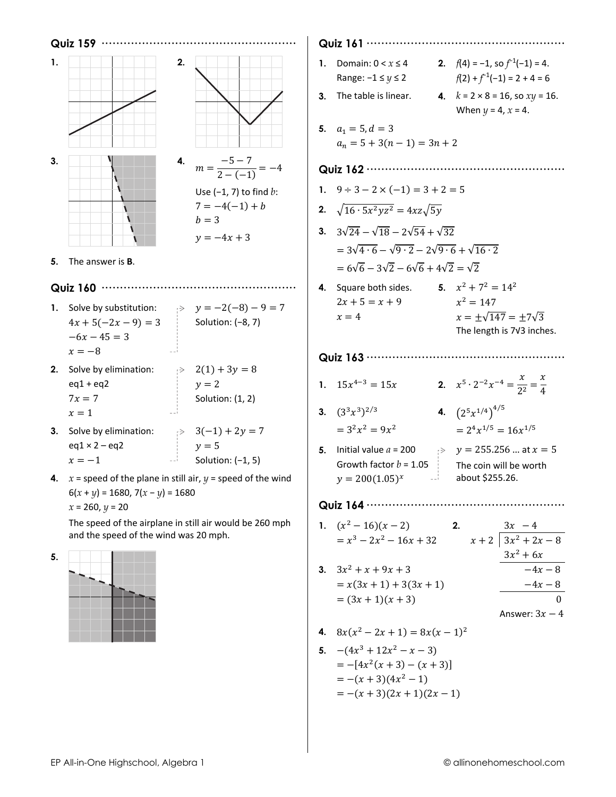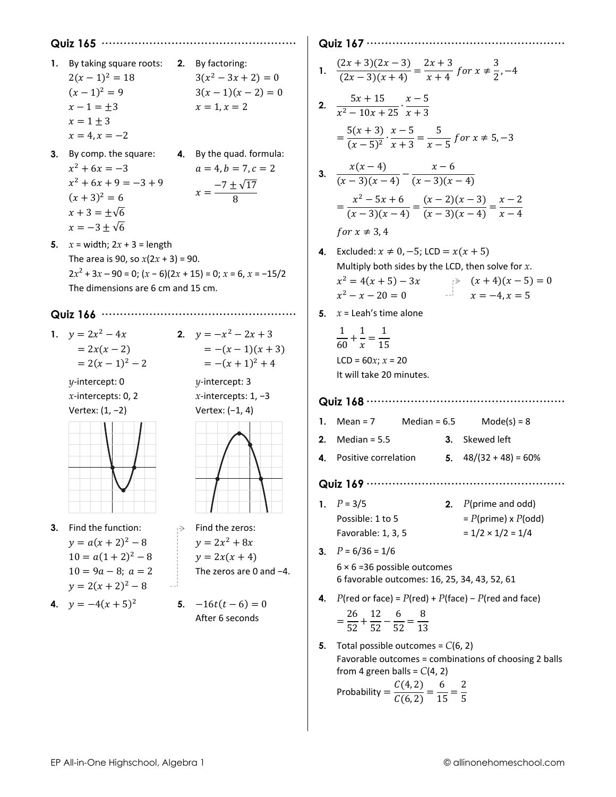- 1. By taking square roots: 2. By factoring:  $3(x^2-3x+2)=0$  $2(x-1)^2 = 18$  $(x-1)^2=9$  $3(x-1)(x-2) = 0$  $x - 1 = +3$  $x = 1, x = 2$  $x = 1 \pm 3$  $x = 4, x = -2$
- 3. By comp. the square: 4. By the quad. formula:  $x^2 + 6x = -3$  $a = 4, b = 7, c = 2$  $x^2 + 6x + 9 = -3 + 9$  $x = \frac{-7 \pm \sqrt{17}}{8}$  $(x+3)^2 = 6$  $x + 3 = \pm \sqrt{6}$  $x = -3 \pm \sqrt{6}$
- 5.  $x = width$ ;  $2x + 3 = length$ The area is 90, so  $x(2x + 3) = 90$ .  $2x^2 + 3x - 90 = 0$ ;  $(x - 6)(2x + 15) = 0$ ;  $x = 6$ ,  $x = -15/2$ The dimensions are 6 cm and 15 cm.

#### 

- 1.  $y = 2x^2 4x$ <br>2.  $y = -x^2 2x + 3$  $= 2x(x - 2)$  $= 2(x-1)^2 - 2$ 
	- $\nu$ -intercept: 0  $x$ -intercepts: 0, 2 Vertex:  $(1, -2)$



- 3. Find the function:  $y = a(x + 2)^2 - 8$  $10 = a(1+2)^2 - 8$  $10 = 9a - 8$ ;  $a = 2$  $y = 2(x + 2)^2 - 8$
- 4.  $y = -4(x + 5)^2$



x-intercepts:  $1, -3$ Vertex:  $(-1, 4)$ 



- $\Rightarrow$  Find the zeros:  $y = 2x^2 + 8x$  $y = 2x(x + 4)$ The zeros are 0 and  $-4$ .
	- 5.  $-16t(t-6) = 0$ After 6 seconds

#### 

1. 
$$
\frac{(2x+3)(2x-3)}{(2x-3)(x+4)} = \frac{2x+3}{x+4} \text{ for } x \neq \frac{3}{2}, -4
$$

2. 
$$
\frac{5x + 15}{x^2 - 10x + 25} \cdot \frac{x - 5}{x + 3}
$$

$$
= \frac{5(x + 3)}{(x - 5)^2} \cdot \frac{x - 5}{x + 3} = \frac{5}{x - 5} \text{ for } x \neq 5, -3
$$

3. 
$$
\frac{x(x-4)}{(x-3)(x-4)} - \frac{x-6}{(x-3)(x-4)}
$$

$$
= \frac{x^2 - 5x + 6}{(x-3)(x-4)} = \frac{(x-2)(x-3)}{(x-3)(x-4)} = \frac{x-2}{x-4}
$$
  
for  $x \neq 3, 4$ 

- 4. Excluded:  $x \ne 0, -5$ ; LCD =  $x(x + 5)$ Multiply both sides by the LCD, then solve for  $x$ .  $x^2 = 4(x + 5) - 3x$ <br>  $x^2 - x - 20 = 0$ <br>  $x = -4, x = 5$ <br>  $x = -4, x = 5$  $x^2 - x - 20 = 0$
- 5.  $x =$  Leah's time alone
	- $\frac{1}{60} + \frac{1}{x} = \frac{1}{15}$  $LCD = 60x; x = 20$ It will take 20 minutes.

#### 

- 1. Mean =  $7$ Median =  $6.5$  $Mode(s) = 8$
- 2. Median =  $5.5$ 3. Skewed left
- 5.  $48/(32 + 48) = 60\%$ 4. Positive correlation

#### 

- 1.  $P = 3/5$ 2.  $P(\text{prime and odd})$  $= P(\text{prime}) \times P(\text{odd})$ Possible: 1 to 5  $= 1/2 \times 1/2 = 1/4$ Favorable: 1, 3, 5
- 3.  $P = 6/36 = 1/6$  $6 \times 6 = 36$  possible outcomes 6 favorable outcomes: 16, 25, 34, 43, 52, 61
- 4.  $P(\text{red or face}) = P(\text{red}) + P(\text{face}) P(\text{red and face})$  $=\frac{26}{52}+\frac{12}{52}-\frac{6}{52}=\frac{8}{13}$
- 5. Total possible outcomes =  $C(6, 2)$ Favorable outcomes = combinations of choosing 2 balls from 4 green balls =  $C(4, 2)$

Probability =  $\frac{C(4,2)}{C(6,2)} = \frac{6}{15} = \frac{2}{5}$